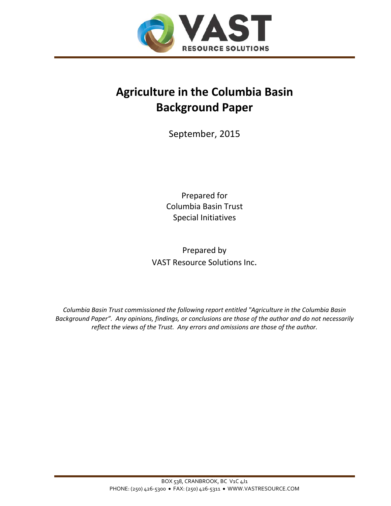

# **Agriculture in the Columbia Basin Background Paper**

September, 2015

Prepared for Columbia Basin Trust Special Initiatives

Prepared by VAST Resource Solutions Inc.

*Columbia Basin Trust commissioned the following report entitled "Agriculture in the Columbia Basin Background Paper". Any opinions, findings, or conclusions are those of the author and do not necessarily reflect the views of the Trust. Any errors and omissions are those of the author.*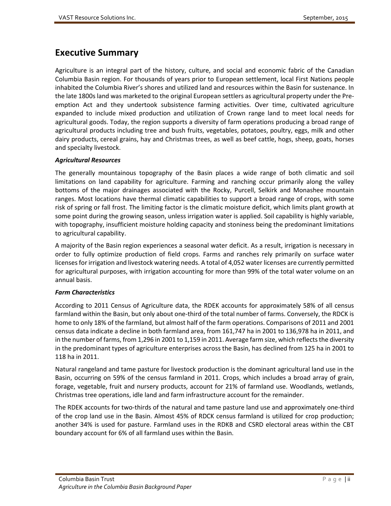# <span id="page-1-0"></span>**Executive Summary**

Agriculture is an integral part of the history, culture, and social and economic fabric of the Canadian Columbia Basin region. For thousands of years prior to European settlement, local First Nations people inhabited the Columbia River's shores and utilized land and resources within the Basin for sustenance. In the late 1800s land was marketed to the original European settlers as agricultural property under the Preemption Act and they undertook subsistence farming activities. Over time, cultivated agriculture expanded to include mixed production and utilization of Crown range land to meet local needs for agricultural goods. Today, the region supports a diversity of farm operations producing a broad range of agricultural products including tree and bush fruits, vegetables, potatoes, poultry, eggs, milk and other dairy products, cereal grains, hay and Christmas trees, as well as beef cattle, hogs, sheep, goats, horses and specialty livestock.

#### *Agricultural Resources*

The generally mountainous topography of the Basin places a wide range of both climatic and soil limitations on land capability for agriculture. Farming and ranching occur primarily along the valley bottoms of the major drainages associated with the Rocky, Purcell, Selkirk and Monashee mountain ranges. Most locations have thermal climatic capabilities to support a broad range of crops, with some risk of spring or fall frost. The limiting factor is the climatic moisture deficit, which limits plant growth at some point during the growing season, unless irrigation water is applied. Soil capability is highly variable, with topography, insufficient moisture holding capacity and stoniness being the predominant limitations to agricultural capability.

A majority of the Basin region experiences a seasonal water deficit. As a result, irrigation is necessary in order to fully optimize production of field crops. Farms and ranches rely primarily on surface water licenses for irrigation and livestock watering needs. A total of 4,052 water licenses are currently permitted for agricultural purposes, with irrigation accounting for more than 99% of the total water volume on an annual basis.

#### *Farm Characteristics*

According to 2011 Census of Agriculture data, the RDEK accounts for approximately 58% of all census farmland within the Basin, but only about one-third of the total number of farms. Conversely, the RDCK is home to only 18% of the farmland, but almost half of the farm operations. Comparisons of 2011 and 2001 census data indicate a decline in both farmland area, from 161,747 ha in 2001 to 136,978 ha in 2011, and in the number of farms, from 1,296 in 2001 to 1,159 in 2011. Average farm size, which reflects the diversity in the predominant types of agriculture enterprises across the Basin, has declined from 125 ha in 2001 to 118 ha in 2011.

Natural rangeland and tame pasture for livestock production is the dominant agricultural land use in the Basin, occurring on 59% of the census farmland in 2011. Crops, which includes a broad array of grain, forage, vegetable, fruit and nursery products, account for 21% of farmland use. Woodlands, wetlands, Christmas tree operations, idle land and farm infrastructure account for the remainder.

The RDEK accounts for two-thirds of the natural and tame pasture land use and approximately one-third of the crop land use in the Basin. Almost 45% of RDCK census farmland is utilized for crop production; another 34% is used for pasture. Farmland uses in the RDKB and CSRD electoral areas within the CBT boundary account for 6% of all farmland uses within the Basin.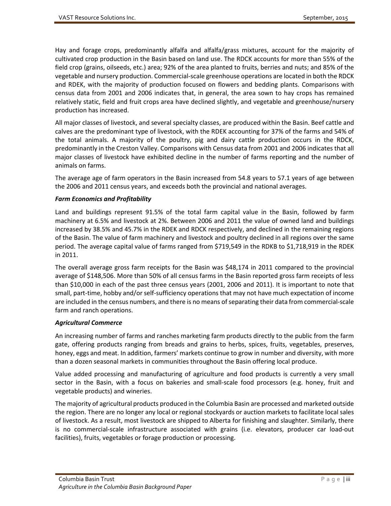Hay and forage crops, predominantly alfalfa and alfalfa/grass mixtures, account for the majority of cultivated crop production in the Basin based on land use. The RDCK accounts for more than 55% of the field crop (grains, oilseeds, etc.) area; 92% of the area planted to fruits, berries and nuts; and 85% of the vegetable and nursery production. Commercial-scale greenhouse operations are located in both the RDCK and RDEK, with the majority of production focused on flowers and bedding plants. Comparisons with census data from 2001 and 2006 indicates that, in general, the area sown to hay crops has remained relatively static, field and fruit crops area have declined slightly, and vegetable and greenhouse/nursery production has increased.

All major classes of livestock, and several specialty classes, are produced within the Basin. Beef cattle and calves are the predominant type of livestock, with the RDEK accounting for 37% of the farms and 54% of the total animals. A majority of the poultry, pig and dairy cattle production occurs in the RDCK, predominantly in the Creston Valley. Comparisons with Census data from 2001 and 2006 indicates that all major classes of livestock have exhibited decline in the number of farms reporting and the number of animals on farms.

The average age of farm operators in the Basin increased from 54.8 years to 57.1 years of age between the 2006 and 2011 census years, and exceeds both the provincial and national averages.

#### *Farm Economics and Profitability*

Land and buildings represent 91.5% of the total farm capital value in the Basin, followed by farm machinery at 6.5% and livestock at 2%. Between 2006 and 2011 the value of owned land and buildings increased by 38.5% and 45.7% in the RDEK and RDCK respectively, and declined in the remaining regions of the Basin. The value of farm machinery and livestock and poultry declined in all regions over the same period. The average capital value of farms ranged from \$719,549 in the RDKB to \$1,718,919 in the RDEK in 2011.

The overall average gross farm receipts for the Basin was \$48,174 in 2011 compared to the provincial average of \$148,506. More than 50% of all census farms in the Basin reported gross farm receipts of less than \$10,000 in each of the past three census years (2001, 2006 and 2011). It is important to note that small, part-time, hobby and/or self-sufficiency operations that may not have much expectation of income are included in the census numbers, and there is no means of separating their data from commercial-scale farm and ranch operations.

#### *Agricultural Commerce*

An increasing number of farms and ranches marketing farm products directly to the public from the farm gate, offering products ranging from breads and grains to herbs, spices, fruits, vegetables, preserves, honey, eggs and meat. In addition, farmers' markets continue to grow in number and diversity, with more than a dozen seasonal markets in communities throughout the Basin offering local produce.

Value added processing and manufacturing of agriculture and food products is currently a very small sector in the Basin, with a focus on bakeries and small-scale food processors (e.g. honey, fruit and vegetable products) and wineries.

The majority of agricultural products produced in the Columbia Basin are processed and marketed outside the region. There are no longer any local or regional stockyards or auction markets to facilitate local sales of livestock. As a result, most livestock are shipped to Alberta for finishing and slaughter. Similarly, there is no commercial-scale infrastructure associated with grains (i.e. elevators, producer car load-out facilities), fruits, vegetables or forage production or processing.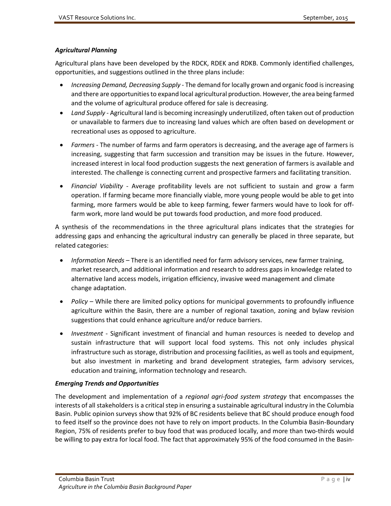#### *Agricultural Planning*

Agricultural plans have been developed by the RDCK, RDEK and RDKB. Commonly identified challenges, opportunities, and suggestions outlined in the three plans include:

- *Increasing Demand, Decreasing Supply* The demand for locally grown and organic food is increasing and there are opportunities to expand local agricultural production. However, the area being farmed and the volume of agricultural produce offered for sale is decreasing.
- *Land Supply*  Agricultural land is becoming increasingly underutilized, often taken out of production or unavailable to farmers due to increasing land values which are often based on development or recreational uses as opposed to agriculture.
- *Farmers* The number of farms and farm operators is decreasing, and the average age of farmers is increasing, suggesting that farm succession and transition may be issues in the future. However, increased interest in local food production suggests the next generation of farmers is available and interested. The challenge is connecting current and prospective farmers and facilitating transition.
- *Financial Viability* Average profitability levels are not sufficient to sustain and grow a farm operation. If farming became more financially viable, more young people would be able to get into farming, more farmers would be able to keep farming, fewer farmers would have to look for offfarm work, more land would be put towards food production, and more food produced.

A synthesis of the recommendations in the three agricultural plans indicates that the strategies for addressing gaps and enhancing the agricultural industry can generally be placed in three separate, but related categories:

- *Information Needs –* There is an identified need for farm advisory services, new farmer training, market research, and additional information and research to address gaps in knowledge related to alternative land access models, irrigation efficiency, invasive weed management and climate change adaptation.
- *Policy* While there are limited policy options for municipal governments to profoundly influence agriculture within the Basin, there are a number of regional taxation, zoning and bylaw revision suggestions that could enhance agriculture and/or reduce barriers.
- *Investment*  Significant investment of financial and human resources is needed to develop and sustain infrastructure that will support local food systems. This not only includes physical infrastructure such as storage, distribution and processing facilities, as well as tools and equipment, but also investment in marketing and brand development strategies, farm advisory services, education and training, information technology and research.

#### *Emerging Trends and Opportunities*

The development and implementation of a *regional agri-food system strategy* that encompasses the interests of all stakeholders is a critical step in ensuring a sustainable agricultural industry in the Columbia Basin. Public opinion surveys show that 92% of BC residents believe that BC should produce enough food to feed itself so the province does not have to rely on import products. In the Columbia Basin-Boundary Region, 75% of residents prefer to buy food that was produced locally, and more than two-thirds would be willing to pay extra for local food. The fact that approximately 95% of the food consumed in the Basin-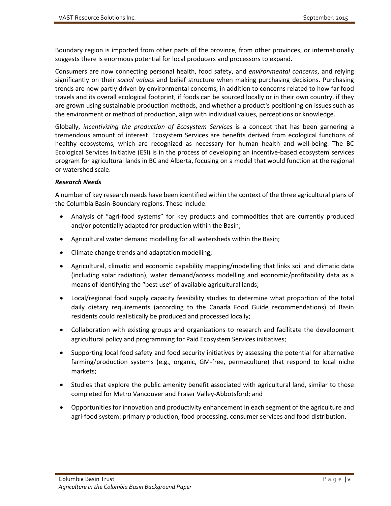Boundary region is imported from other parts of the province, from other provinces, or internationally suggests there is enormous potential for local producers and processors to expand.

Consumers are now connecting personal health, food safety, and *environmental concerns*, and relying significantly on their *social values* and belief structure when making purchasing decisions. Purchasing trends are now partly driven by environmental concerns, in addition to concerns related to how far food travels and its overall ecological footprint, if foods can be sourced locally or in their own country, if they are grown using sustainable production methods, and whether a product's positioning on issues such as the environment or method of production, align with individual values, perceptions or knowledge.

Globally, *incentivizing the production of Ecosystem Services* is a concept that has been garnering a tremendous amount of interest. Ecosystem Services are benefits derived from ecological functions of healthy ecosystems, which are recognized as necessary for human health and well-being. The BC Ecological Services Initiative (ESI) is in the process of developing an incentive-based ecosystem services program for agricultural lands in BC and Alberta, focusing on a model that would function at the regional or watershed scale.

#### *Research Needs*

A number of key research needs have been identified within the context of the three agricultural plans of the Columbia Basin-Boundary regions. These include:

- Analysis of "agri-food systems" for key products and commodities that are currently produced and/or potentially adapted for production within the Basin;
- Agricultural water demand modelling for all watersheds within the Basin;
- Climate change trends and adaptation modelling;
- Agricultural, climatic and economic capability mapping/modelling that links soil and climatic data (including solar radiation), water demand/access modelling and economic/profitability data as a means of identifying the "best use" of available agricultural lands;
- Local/regional food supply capacity feasibility studies to determine what proportion of the total daily dietary requirements (according to the Canada Food Guide recommendations) of Basin residents could realistically be produced and processed locally;
- Collaboration with existing groups and organizations to research and facilitate the development agricultural policy and programming for Paid Ecosystem Services initiatives;
- Supporting local food safety and food security initiatives by assessing the potential for alternative farming/production systems (e.g., organic, GM-free, permaculture) that respond to local niche markets;
- Studies that explore the public amenity benefit associated with agricultural land, similar to those completed for Metro Vancouver and Fraser Valley-Abbotsford; and
- Opportunities for innovation and productivity enhancement in each segment of the agriculture and agri-food system: primary production, food processing, consumer services and food distribution.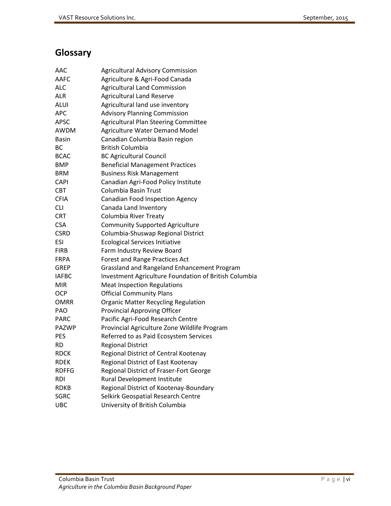# <span id="page-5-0"></span>**Glossary**

| AAC          | <b>Agricultural Advisory Commission</b>               |
|--------------|-------------------------------------------------------|
| AAFC         | Agriculture & Agri-Food Canada                        |
| ALC          | <b>Agricultural Land Commission</b>                   |
| ALR          | <b>Agricultural Land Reserve</b>                      |
| ALUI         | Agricultural land use inventory                       |
| APC          | <b>Advisory Planning Commission</b>                   |
| APSC         | Agricultural Plan Steering Committee                  |
| AWDM         | Agriculture Water Demand Model                        |
| Basin        | Canadian Columbia Basin region                        |
| ВC           | <b>British Columbia</b>                               |
| <b>BCAC</b>  | <b>BC Agricultural Council</b>                        |
| BMP          | <b>Beneficial Management Practices</b>                |
| <b>BRM</b>   | <b>Business Risk Management</b>                       |
| CAPI         | Canadian Agri-Food Policy Institute                   |
| CBT          | Columbia Basin Trust                                  |
| CFIA         | <b>Canadian Food Inspection Agency</b>                |
| СLІ          | Canada Land Inventory                                 |
| CRT          | Columbia River Treaty                                 |
| <b>CSA</b>   | <b>Community Supported Agriculture</b>                |
| CSRD         | Columbia-Shuswap Regional District                    |
| <b>ESI</b>   | <b>Ecological Services Initiative</b>                 |
| <b>FIRB</b>  | Farm Industry Review Board                            |
| FRPA         | <b>Forest and Range Practices Act</b>                 |
| GREP         | Grassland and Rangeland Enhancement Program           |
| <b>IAFBC</b> | Investment Agriculture Foundation of British Columbia |
| MIR          | <b>Meat Inspection Regulations</b>                    |
| OCP          | <b>Official Community Plans</b>                       |
| OMRR         | <b>Organic Matter Recycling Regulation</b>            |
| PAO          | <b>Provincial Approving Officer</b>                   |
| <b>PARC</b>  | Pacific Agri-Food Research Centre                     |
| <b>PAZWP</b> | Provincial Agriculture Zone Wildlife Program          |
| PES          | Referred to as Paid Ecosystem Services                |
| RD           | <b>Regional District</b>                              |
| <b>RDCK</b>  | Regional District of Central Kootenay                 |
| RDEK         | Regional District of East Kootenay                    |
| <b>RDFFG</b> | Regional District of Fraser-Fort George               |
| rdi          | Rural Development Institute                           |
| <b>RDKB</b>  | Regional District of Kootenay-Boundary                |
| SGRC         | Selkirk Geospatial Research Centre                    |
| <b>UBC</b>   | University of British Columbia                        |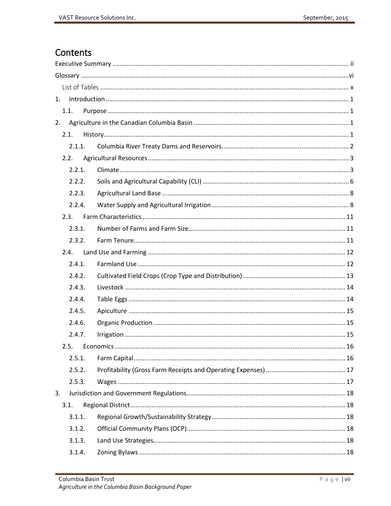# Contents

| 1.   |        |  |
|------|--------|--|
| 1.1. |        |  |
| 2.   |        |  |
| 2.1. |        |  |
|      | 2.1.1. |  |
|      | 2.2.   |  |
|      | 2.2.1. |  |
|      | 2.2.2. |  |
|      | 2.2.3. |  |
|      | 2.2.4. |  |
|      | 2.3.   |  |
|      | 2.3.1. |  |
|      | 2.3.2. |  |
| 2.4. |        |  |
|      | 2.4.1. |  |
|      | 2.4.2. |  |
|      | 2.4.3. |  |
|      | 2.4.4. |  |
|      | 2.4.5. |  |
|      | 2.4.6. |  |
|      | 2.4.7. |  |
|      |        |  |
|      | 2.5.1. |  |
|      | 2.5.2. |  |
|      | 2.5.3. |  |
| 3.   |        |  |
| 3.1. |        |  |
|      | 3.1.1. |  |
|      | 3.1.2. |  |
|      | 3.1.3. |  |
|      | 3.1.4. |  |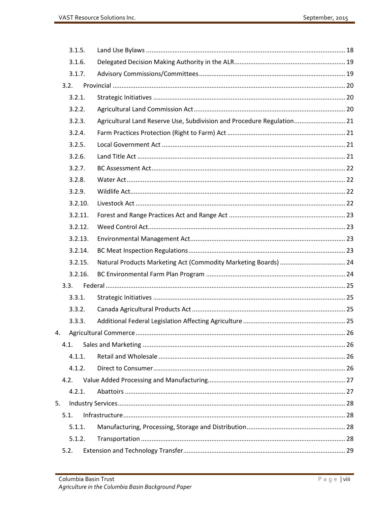|    | 3.1.5.  |                                                                        |  |
|----|---------|------------------------------------------------------------------------|--|
|    | 3.1.6.  |                                                                        |  |
|    | 3.1.7.  |                                                                        |  |
|    | 3.2.    |                                                                        |  |
|    | 3.2.1.  |                                                                        |  |
|    | 3.2.2.  |                                                                        |  |
|    | 3.2.3.  | Agricultural Land Reserve Use, Subdivision and Procedure Regulation 21 |  |
|    | 3.2.4.  |                                                                        |  |
|    | 3.2.5.  |                                                                        |  |
|    | 3.2.6.  |                                                                        |  |
|    | 3.2.7.  |                                                                        |  |
|    | 3.2.8.  |                                                                        |  |
|    | 3.2.9.  |                                                                        |  |
|    | 3.2.10. |                                                                        |  |
|    | 3.2.11. |                                                                        |  |
|    | 3.2.12. |                                                                        |  |
|    | 3.2.13. |                                                                        |  |
|    | 3.2.14. |                                                                        |  |
|    | 3.2.15. |                                                                        |  |
|    | 3.2.16. |                                                                        |  |
|    | 3.3.    |                                                                        |  |
|    | 3.3.1.  |                                                                        |  |
|    | 3.3.2.  |                                                                        |  |
|    | 3.3.3.  |                                                                        |  |
|    |         |                                                                        |  |
|    | 4.1.    |                                                                        |  |
|    | 4.1.1.  |                                                                        |  |
|    | 4.1.2.  |                                                                        |  |
|    | 4.2.    |                                                                        |  |
|    | 4.2.1.  |                                                                        |  |
| 5. |         |                                                                        |  |
|    | 5.1.    |                                                                        |  |
|    | 5.1.1.  |                                                                        |  |
|    | 5.1.2.  |                                                                        |  |
|    | 5.2.    |                                                                        |  |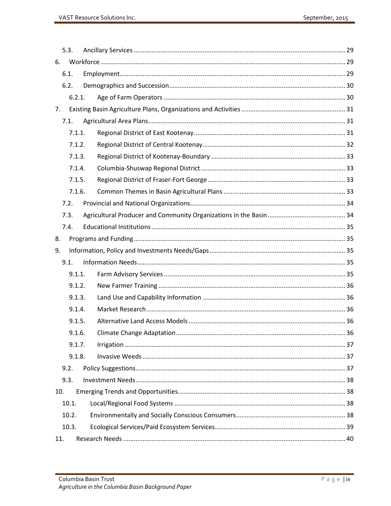| 5.3.  |        |  |
|-------|--------|--|
| 6.    |        |  |
| 6.1.  |        |  |
| 6.2.  |        |  |
|       | 6.2.1. |  |
| 7.    |        |  |
| 7.1.  |        |  |
|       | 7.1.1. |  |
|       | 7.1.2. |  |
|       | 7.1.3. |  |
|       | 7.1.4. |  |
|       | 7.1.5. |  |
|       | 7.1.6. |  |
| 7.2.  |        |  |
| 7.3.  |        |  |
| 7.4.  |        |  |
| 8.    |        |  |
| 9.    |        |  |
| 9.1.  |        |  |
|       | 9.1.1. |  |
|       | 9.1.2. |  |
|       | 9.1.3. |  |
|       | 9.1.4. |  |
|       | 9.1.5. |  |
|       | 9.1.6. |  |
|       | 9.1.7. |  |
|       | 9.1.8. |  |
| 9.2.  |        |  |
| 9.3.  |        |  |
| 10.   |        |  |
| 10.1. |        |  |
| 10.2. |        |  |
| 10.3. |        |  |
| 11.   |        |  |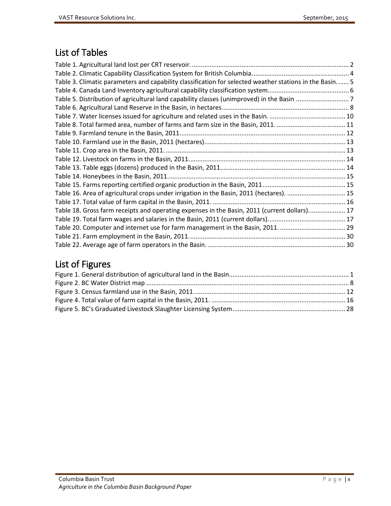# <span id="page-9-0"></span>List of Tables

| Table 3. Climatic parameters and capability classification for selected weather stations in the Basin 5 |  |
|---------------------------------------------------------------------------------------------------------|--|
|                                                                                                         |  |
|                                                                                                         |  |
|                                                                                                         |  |
|                                                                                                         |  |
|                                                                                                         |  |
|                                                                                                         |  |
|                                                                                                         |  |
|                                                                                                         |  |
|                                                                                                         |  |
|                                                                                                         |  |
|                                                                                                         |  |
|                                                                                                         |  |
| Table 16. Area of agricultural crops under irrigation in the Basin, 2011 (hectares).  15                |  |
|                                                                                                         |  |
| Table 18. Gross farm receipts and operating expenses in the Basin, 2011 (current dollars) 17            |  |
|                                                                                                         |  |
|                                                                                                         |  |
|                                                                                                         |  |
|                                                                                                         |  |

# List of Figures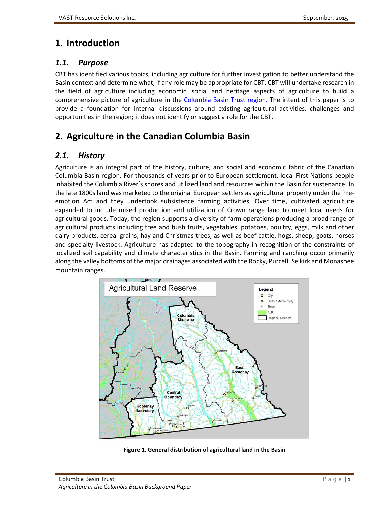# <span id="page-10-0"></span>**1. Introduction**

# <span id="page-10-1"></span>*1.1. Purpose*

CBT has identified various topics, including agriculture for further investigation to better understand the Basin context and determine what, if any role may be appropriate for CBT. CBT will undertake research in the field of agriculture including economic, social and heritage aspects of agriculture to build a comprehensive picture of agriculture in the [Columbia Basin Trust region.](http://cbt.org/The_Basin/?Basin_Map) The intent of this paper is to provide a foundation for internal discussions around existing agricultural activities, challenges and opportunities in the region; it does not identify or suggest a role for the CBT.

# <span id="page-10-2"></span>**2. Agriculture in the Canadian Columbia Basin**

# <span id="page-10-3"></span>*2.1. History*

Agriculture is an integral part of the history, culture, and social and economic fabric of the Canadian Columbia Basin region. For thousands of years prior to European settlement, local First Nations people inhabited the Columbia River's shores and utilized land and resources within the Basin for sustenance. In the late 1800s land was marketed to the original European settlers as agricultural property under the Preemption Act and they undertook subsistence farming activities. Over time, cultivated agriculture expanded to include mixed production and utilization of Crown range land to meet local needs for agricultural goods. Today, the region supports a diversity of farm operations producing a broad range of agricultural products including tree and bush fruits, vegetables, potatoes, poultry, eggs, milk and other dairy products, cereal grains, hay and Christmas trees, as well as beef cattle, hogs, sheep, goats, horses and specialty livestock. Agriculture has adapted to the topography in recognition of the constraints of localized soil capability and climate characteristics in the Basin. Farming and ranching occur primarily along the valley bottoms of the major drainages associated with the Rocky, Purcell, Selkirk and Monashee mountain ranges.



<span id="page-10-4"></span>**Figure 1. General distribution of agricultural land in the Basin**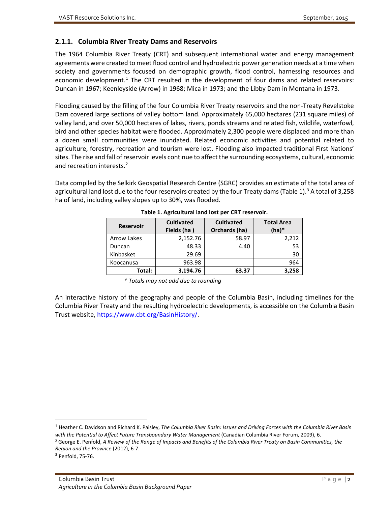#### <span id="page-11-0"></span>**2.1.1. Columbia River Treaty Dams and Reservoirs**

The 1964 Columbia River Treaty (CRT) and subsequent international water and energy management agreements were created to meet flood control and hydroelectric power generation needs at a time when society and governments focused on demographic growth, flood control, harnessing resources and economic development.<sup>[1](#page-11-2)</sup> The CRT resulted in the development of four dams and related reservoirs: Duncan in 1967; Keenleyside (Arrow) in 1968; Mica in 1973; and the Libby Dam in Montana in 1973.

Flooding caused by the filling of the four Columbia River Treaty reservoirs and the non-Treaty Revelstoke Dam covered large sections of valley bottom land. Approximately 65,000 hectares (231 square miles) of valley land, and over 50,000 hectares of lakes, rivers, ponds streams and related fish, wildlife, waterfowl, bird and other species habitat were flooded. Approximately 2,300 people were displaced and more than a dozen small communities were inundated. Related economic activities and potential related to agriculture, forestry, recreation and tourism were lost. Flooding also impacted traditional First Nations' sites. The rise and fall of reservoir levels continue to affect the surrounding ecosystems, cultural, economic and recreation interests.<sup>[2](#page-11-3)</sup>

<span id="page-11-1"></span>Data compiled by the Selkirk Geospatial Research Centre (SGRC) provides an estimate of the total area of agricultural land lost due to the four reservoirs created by the four Treaty dams (Table 1).<sup>[3](#page-11-4)</sup> A total of 3,258 ha of land, including valley slopes up to 30%, was flooded.

| <b>Reservoir</b>   | <b>Cultivated</b><br>Fields (ha) | <b>Cultivated</b><br>Orchards (ha) | <b>Total Area</b><br>$(ha)*$ |
|--------------------|----------------------------------|------------------------------------|------------------------------|
| <b>Arrow Lakes</b> | 2,152.76                         | 58.97                              | 2,212                        |
| Duncan             | 48.33                            | 4.40                               | 53                           |
| Kinbasket          | 29.69                            |                                    | 30                           |
| Koocanusa          | 963.98                           |                                    | 964                          |
| Total:             | 3,194.76                         | 63.37                              | 3,258                        |

| Table 1. Agricultural land lost per CRT reservoir. |
|----------------------------------------------------|
|----------------------------------------------------|

*\* Totals may not add due to rounding*

An interactive history of the geography and people of the Columbia Basin, including timelines for the Columbia River Treaty and the resulting hydroelectric developments, is accessible on the Columbia Basin Trust website, [https://www.cbt.org/BasinHistory/.](https://www.cbt.org/BasinHistory/)

<span id="page-11-3"></span><span id="page-11-2"></span> <sup>1</sup> Heather C. Davidson and Richard K. Paisley, *The Columbia River Basin: Issues and Driving Forces with the Columbia River Basin with the Potential to Affect Future Transboundary Water Management* (Canadian Columbia River Forum, 2009), 6. <sup>2</sup> George E. Penfold, *A Review of the Range of Impacts and Benefits of the Columbia River Treaty on Basin Communities, the Region and the Province* (2012), 6-7.

<span id="page-11-4"></span><sup>3</sup> Penfold, 75-76.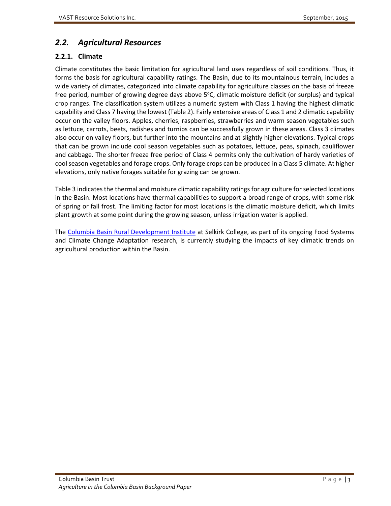# <span id="page-12-0"></span>*2.2. Agricultural Resources*

## <span id="page-12-1"></span>**2.2.1. Climate**

Climate constitutes the basic limitation for agricultural land uses regardless of soil conditions. Thus, it forms the basis for agricultural capability ratings. The Basin, due to its mountainous terrain, includes a wide variety of climates, categorized into climate capability for agriculture classes on the basis of freeze free period, number of growing degree days above 5°C, climatic moisture deficit (or surplus) and typical crop ranges. The classification system utilizes a numeric system with Class 1 having the highest climatic capability and Class 7 having the lowest (Table 2). Fairly extensive areas of Class 1 and 2 climatic capability occur on the valley floors. Apples, cherries, raspberries, strawberries and warm season vegetables such as lettuce, carrots, beets, radishes and turnips can be successfully grown in these areas. Class 3 climates also occur on valley floors, but further into the mountains and at slightly higher elevations. Typical crops that can be grown include cool season vegetables such as potatoes, lettuce, peas, spinach, cauliflower and cabbage. The shorter freeze free period of Class 4 permits only the cultivation of hardy varieties of cool season vegetables and forage crops. Only forage crops can be produced in a Class 5 climate. At higher elevations, only native forages suitable for grazing can be grown.

Table 3 indicates the thermal and moisture climatic capability ratings for agriculture for selected locations in the Basin. Most locations have thermal capabilities to support a broad range of crops, with some risk of spring or fall frost. The limiting factor for most locations is the climatic moisture deficit, which limits plant growth at some point during the growing season, unless irrigation water is applied.

The [Columbia Basin Rural Development Institute](http://selkirk.ca/research/rdi) at Selkirk College, as part of its ongoing Food Systems and Climate Change Adaptation research, is currently studying the impacts of key climatic trends on agricultural production within the Basin.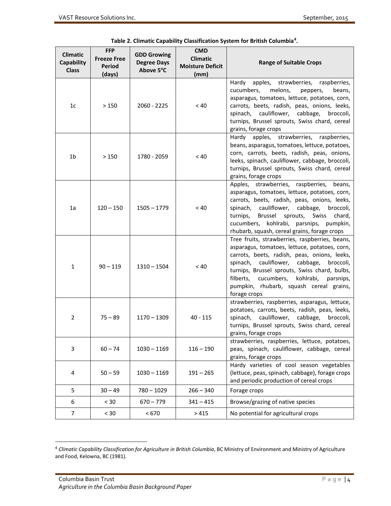<span id="page-13-0"></span>

| <b>Climatic</b><br>Capability<br><b>Class</b> | <b>FFP</b><br><b>Freeze Free</b><br><b>Period</b><br>(days) | <b>GDD Growing</b><br><b>Degree Days</b><br>Above 5°C | <b>CMD</b><br><b>Climatic</b><br><b>Moisture Deficit</b><br>(mm) | <b>Range of Suitable Crops</b>                                                                                                                                                                                                                                                                                                                               |
|-----------------------------------------------|-------------------------------------------------------------|-------------------------------------------------------|------------------------------------------------------------------|--------------------------------------------------------------------------------------------------------------------------------------------------------------------------------------------------------------------------------------------------------------------------------------------------------------------------------------------------------------|
| 1 <sub>c</sub>                                | >150                                                        | $2060 - 2225$                                         | < 40                                                             | apples,<br>strawberries, raspberries,<br>Hardy<br>cucumbers,<br>melons,<br>peppers,<br>beans,<br>asparagus, tomatoes, lettuce, potatoes, corn,<br>carrots, beets, radish, peas, onions, leeks,<br>spinach, cauliflower, cabbage,<br>broccoli,<br>turnips, Brussel sprouts, Swiss chard, cereal<br>grains, forage crops                                       |
| 1 <sub>b</sub>                                | >150                                                        | 1780 - 2059                                           | < 40                                                             | Hardy apples, strawberries, raspberries,<br>beans, asparagus, tomatoes, lettuce, potatoes,<br>corn, carrots, beets, radish, peas, onions,<br>leeks, spinach, cauliflower, cabbage, broccoli,<br>turnips, Brussel sprouts, Swiss chard, cereal<br>grains, forage crops                                                                                        |
| 1a                                            | $120 - 150$                                                 | $1505 - 1779$                                         | < 40                                                             | Apples, strawberries, raspberries, beans,<br>asparagus, tomatoes, lettuce, potatoes, corn,<br>carrots, beets, radish, peas, onions, leeks,<br>spinach, cauliflower, cabbage,<br>broccoli,<br>Brussel sprouts,<br>Swiss<br>turnips,<br>chard,<br>cucumbers, kohlrabi, parsnips, pumpkin,<br>rhubarb, squash, cereal grains, forage crops                      |
| $\mathbf{1}$                                  | $90 - 119$                                                  | $1310 - 1504$                                         | < 40                                                             | Tree fruits, strawberries, raspberries, beans,<br>asparagus, tomatoes, lettuce, potatoes, corn,<br>carrots, beets, radish, peas, onions, leeks,<br>spinach, cauliflower, cabbage,<br>broccoli,<br>turnips, Brussel sprouts, Swiss chard, bulbs,<br>filberts,<br>cucumbers, kohlrabi,<br>parsnips,<br>pumpkin, rhubarb, squash cereal grains,<br>forage crops |
| 2                                             | $75 - 89$                                                   | $1170 - 1309$                                         | $40 - 115$                                                       | strawberries, raspberries, asparagus, lettuce,<br>potatoes, carrots, beets, radish, peas, leeks,<br>spinach,<br>cauliflower, cabbage,<br>broccoli,<br>turnips, Brussel sprouts, Swiss chard, cereal<br>grains, forage crops                                                                                                                                  |
| 3                                             | $60 - 74$                                                   | $1030 - 1169$                                         | $116 - 190$                                                      | strawberries, raspberries, lettuce, potatoes,<br>peas, spinach, cauliflower, cabbage, cereal<br>grains, forage crops                                                                                                                                                                                                                                         |
| 4                                             | $50 - 59$                                                   | $1030 - 1169$                                         | $191 - 265$                                                      | Hardy varieties of cool season vegetables<br>(lettuce, peas, spinach, cabbage), forage crops<br>and periodic production of cereal crops                                                                                                                                                                                                                      |
| 5                                             | $30 - 49$                                                   | $780 - 1029$                                          | $266 - 340$                                                      | Forage crops                                                                                                                                                                                                                                                                                                                                                 |
| 6                                             | < 30                                                        | $670 - 779$                                           | $341 - 415$                                                      | Browse/grazing of native species                                                                                                                                                                                                                                                                                                                             |
| 7                                             | $< 30$                                                      | < 670                                                 | >415                                                             | No potential for agricultural crops                                                                                                                                                                                                                                                                                                                          |

| Table 2. Climatic Capability Classification System for British Columbia <sup>4</sup> . |
|----------------------------------------------------------------------------------------|
|----------------------------------------------------------------------------------------|

<span id="page-13-1"></span> <sup>4</sup> *Climatic Capability Classification for Agriculture in British Columbia*, BC Ministry of Environment and Ministry of Agriculture and Food, Kelowna, BC (1981).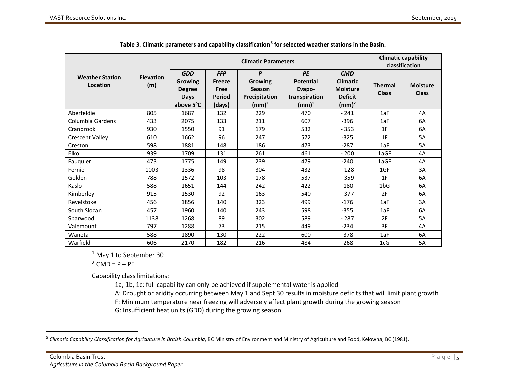<span id="page-14-0"></span>

|                                    |                         | <b>Climatic Parameters</b>                                         |                                                                |                                                      |                                                                        |                                                                                | <b>Climatic capability</b><br>classification |                                 |
|------------------------------------|-------------------------|--------------------------------------------------------------------|----------------------------------------------------------------|------------------------------------------------------|------------------------------------------------------------------------|--------------------------------------------------------------------------------|----------------------------------------------|---------------------------------|
| <b>Weather Station</b><br>Location | <b>Elevation</b><br>(m) | <b>GDD</b><br>Growing<br><b>Degree</b><br><b>Days</b><br>above 5°C | <b>FFP</b><br><b>Freeze</b><br>Free<br><b>Period</b><br>(days) | P<br>Growing<br>Season<br>Precipitation<br>(mm) $^1$ | PE<br><b>Potential</b><br>Evapo-<br>transpiration<br>$(\mathsf{mm})^1$ | <b>CMD</b><br><b>Climatic</b><br><b>Moisture</b><br><b>Deficit</b><br>$(mm)^2$ | <b>Thermal</b><br><b>Class</b>               | <b>Moisture</b><br><b>Class</b> |
| Aberfeldie                         | 805                     | 1687                                                               | 132                                                            | 229                                                  | 470                                                                    | $-241$                                                                         | 1aF                                          | 4A                              |
| Columbia Gardens                   | 433                     | 2075                                                               | 133                                                            | 211                                                  | 607                                                                    | $-396$                                                                         | 1aF                                          | 6A                              |
| Cranbrook                          | 930                     | 1550                                                               | 91                                                             | 179                                                  | 532                                                                    | $-353$                                                                         | 1F                                           | 6A                              |
| <b>Crescent Valley</b>             | 610                     | 1662                                                               | 96                                                             | 247                                                  | 572                                                                    | $-325$                                                                         | 1F                                           | 5A                              |
| Creston                            | 598                     | 1881                                                               | 148                                                            | 186                                                  | 473                                                                    | $-287$                                                                         | 1aF                                          | 5A                              |
| Elko                               | 939                     | 1709                                                               | 131                                                            | 261                                                  | 461                                                                    | $-200$                                                                         | 1aGF                                         | 4A                              |
| Fauquier                           | 473                     | 1775                                                               | 149                                                            | 239                                                  | 479                                                                    | $-240$                                                                         | 1aGF                                         | 4A                              |
| Fernie                             | 1003                    | 1336                                                               | 98                                                             | 304                                                  | 432                                                                    | $-128$                                                                         | 1GF                                          | 3A                              |
| Golden                             | 788                     | 1572                                                               | 103                                                            | 178                                                  | 537                                                                    | $-359$                                                                         | 1F                                           | 6A                              |
| Kaslo                              | 588                     | 1651                                                               | 144                                                            | 242                                                  | 422                                                                    | $-180$                                                                         | 1bG                                          | 6A                              |
| Kimberley                          | 915                     | 1530                                                               | 92                                                             | 163                                                  | 540                                                                    | $-377$                                                                         | 2F                                           | 6A                              |
| Revelstoke                         | 456                     | 1856                                                               | 140                                                            | 323                                                  | 499                                                                    | $-176$                                                                         | 1aF                                          | 3A                              |
| South Slocan                       | 457                     | 1960                                                               | 140                                                            | 243                                                  | 598                                                                    | $-355$                                                                         | 1aF                                          | 6A                              |
| Sparwood                           | 1138                    | 1268                                                               | 89                                                             | 302                                                  | 589                                                                    | $-287$                                                                         | 2F                                           | 5A                              |
| Valemount                          | 797                     | 1288                                                               | 73                                                             | 215                                                  | 449                                                                    | $-234$                                                                         | 3F                                           | 4A                              |
| Waneta                             | 588                     | 1890                                                               | 130                                                            | 222                                                  | 600                                                                    | $-378$                                                                         | 1aF                                          | 6A                              |
| Warfield                           | 606                     | 2170                                                               | 182                                                            | 216                                                  | 484                                                                    | $-268$                                                                         | 1cG                                          | 5A                              |

<span id="page-14-1"></span>

| Table 3. Climatic parameters and capability classification <sup>5</sup> for selected weather stations in the Basin. |  |
|---------------------------------------------------------------------------------------------------------------------|--|
|                                                                                                                     |  |

<sup>1</sup> May 1 to September 30

 $2$  CMD = P – PE

Capability class limitations:

1a, 1b, 1c: full capability can only be achieved if supplemental water is applied

A: Drought or aridity occurring between May 1 and Sept 30 results in moisture deficits that will limit plant growth

F: Minimum temperature near freezing will adversely affect plant growth during the growing season

G: Insufficient heat units (GDD) during the growing season

<sup>&</sup>lt;sup>5</sup> Climatic Capability Classification for Agriculture in British Columbia, BC Ministry of Environment and Ministry of Agriculture and Food, Kelowna, BC (1981).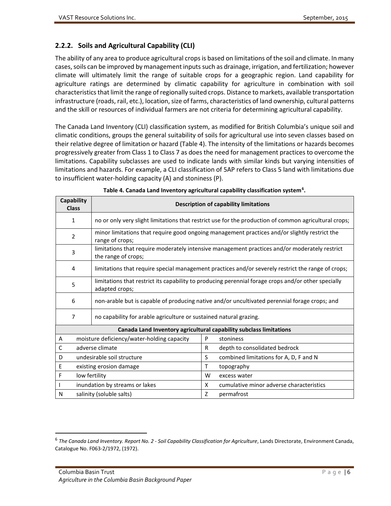#### <span id="page-15-0"></span>**2.2.2. Soils and Agricultural Capability (CLI)**

The ability of any area to produce agricultural crops is based on limitations of the soil and climate. In many cases, soils can be improved by management inputs such as drainage, irrigation, and fertilization; however climate will ultimately limit the range of suitable crops for a geographic region. Land capability for agriculture ratings are determined by climatic capability for agriculture in combination with soil characteristicsthat limit the range of regionally suited crops. Distance to markets, available transportation infrastructure (roads, rail, etc.), location, size of farms, characteristics of land ownership, cultural patterns and the skill or resources of individual farmers are not criteria for determining agricultural capability.

The Canada Land Inventory (CLI) classification system, as modified for British Columbia's unique soil and climatic conditions, groups the general suitability of soils for agricultural use into seven classes based on their relative degree of limitation or hazard (Table 4). The intensity of the limitations or hazards becomes progressively greater from Class 1 to Class 7 as does the need for management practices to overcome the limitations. Capability subclasses are used to indicate lands with similar kinds but varying intensities of limitations and hazards. For example, a CLI classification of 5AP refers to Class 5 land with limitations due to insufficient water-holding capacity (A) and stoniness (P).

<span id="page-15-1"></span>

| Capability<br><b>Class</b> |                                                                    |    | <b>Description of capability limitations</b>                                                          |
|----------------------------|--------------------------------------------------------------------|----|-------------------------------------------------------------------------------------------------------|
| $\mathbf{1}$               |                                                                    |    | no or only very slight limitations that restrict use for the production of common agricultural crops; |
| $\overline{2}$             | range of crops;                                                    |    | minor limitations that require good ongoing management practices and/or slightly restrict the         |
| 3                          | the range of crops;                                                |    | limitations that require moderately intensive management practices and/or moderately restrict         |
| 4                          |                                                                    |    | limitations that require special management practices and/or severely restrict the range of crops;    |
| 5                          | adapted crops;                                                     |    | limitations that restrict its capability to producing perennial forage crops and/or other specially   |
| 6                          |                                                                    |    | non-arable but is capable of producing native and/or uncultivated perennial forage crops; and         |
| 7                          | no capability for arable agriculture or sustained natural grazing. |    |                                                                                                       |
|                            | Canada Land Inventory agricultural capability subclass limitations |    |                                                                                                       |
| Α                          | moisture deficiency/water-holding capacity                         | P  | stoniness                                                                                             |
| $\mathsf{C}$               | adverse climate                                                    | R  | depth to consolidated bedrock                                                                         |
| D                          | undesirable soil structure                                         | S. | combined limitations for A, D, F and N                                                                |
| Ε                          | existing erosion damage                                            | т  | topography                                                                                            |
| F                          | low fertility                                                      | W  | excess water                                                                                          |
|                            | inundation by streams or lakes                                     | X  | cumulative minor adverse characteristics                                                              |
| N                          | salinity (soluble salts)                                           | Z  | permafrost                                                                                            |

|  | Table 4. Canada Land Inventory agricultural capability classification system <sup>6</sup> . |  |  |  |  |
|--|---------------------------------------------------------------------------------------------|--|--|--|--|
|--|---------------------------------------------------------------------------------------------|--|--|--|--|

<span id="page-15-2"></span> <sup>6</sup> *The Canada Land Inventory. Report No. 2 - Soil Capability Classification for Agriculture*, Lands Directorate, Environment Canada, Catalogue No. F063-2/1972, (1972).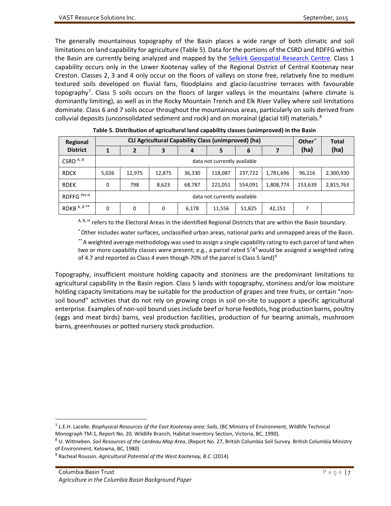The generally mountainous topography of the Basin places a wide range of both climatic and soil limitations on land capability for agriculture (Table 5). Data for the portions of the CSRD and RDFFG within the Basin are currently being analyzed and mapped by the [Selkirk Geospatial Research Centre.](http://selkirk.ca/research/sgrc) Class 1 capability occurs only in the Lower Kootenay valley of the Regional District of Central Kootenay near Creston. Classes 2, 3 and 4 only occur on the floors of valleys on stone free, relatively fine to medium textured soils developed on fluvial fans, floodplains and glacio-lacustrine terraces with favourable topography<sup>[7](#page-16-1)</sup>. Class 5 soils occurs on the floors of larger valleys in the mountains (where climate is dominantly limiting), as well as in the Rocky Mountain Trench and Elk River Valley where soil limitations dominate. Class 6 and 7 soils occur throughout the mountainous areas, particularly on soils derived from colluvial deposits (unconsolidated sediment and rock) and on morainal (glacial till) materials.<sup>[8](#page-16-2)</sup>

<span id="page-16-0"></span>

| Regional               | <b>CLI Agricultural Capability Class (unimproved) (ha)</b><br>Other <sup>1</sup> |                              |        |                  |                              |         |           | <b>Total</b> |           |
|------------------------|----------------------------------------------------------------------------------|------------------------------|--------|------------------|------------------------------|---------|-----------|--------------|-----------|
| <b>District</b>        |                                                                                  |                              | 3      | $\boldsymbol{4}$ | (ha)                         | (ha)    |           |              |           |
| CSRD <sup>A, B</sup>   |                                                                                  |                              |        |                  | data not currently available |         |           |              |           |
| <b>RDCK</b>            | 5,026                                                                            | 12,975                       | 12,875 | 36,330           | 118,087                      | 237,722 | 1,781,696 | 96,216       | 2,300,930 |
| <b>RDEK</b>            | 0                                                                                | 798                          | 8,623  | 68,787           | 221,051                      | 554,091 | 1,808,774 | 153,639      | 2,815,763 |
| RDFFG <sup>Ptn H</sup> |                                                                                  | data not currently available |        |                  |                              |         |           |              |           |
| RDKB <sup>A,B**</sup>  | 0                                                                                | 0                            | 0      | 6,178            | 11,556                       | 51,825  | 42,151    |              |           |

**Table 5. Distribution of agricultural land capability classes (unimproved) in the Basin**

A, B, H refers to the Electoral Areas in the identified Regional Districts that are within the Basin boundary.

\*Other includes water surfaces, unclassified urban areas, national parks and unmapped areas of the Basin.

*\*\** A weighted average methodology was used to assign a single capability rating to each parcel of land when two or more capability classes were present; e.g., a parcel rated 5<sup>743</sup> would be assigned a weighted rating of 4.7 and reported as Class 4 even though 70% of the parcel is Class 5 land)<sup>[9](#page-16-3)</sup>

Topography, insufficient moisture holding capacity and stoniness are the predominant limitations to agricultural capability in the Basin region. Class 5 lands with topography, stoniness and/or low moisture holding capacity limitations may be suitable for the production of grapes and tree fruits, or certain "nonsoil bound" activities that do not rely on growing crops in soil on-site to support a specific agricultural enterprise. Examples of non-soil bound uses include beef or horse feedlots, hog production barns, poultry (eggs and meat birds) barns, veal production facilities, production of fur bearing animals, mushroom barns, greenhouses or potted nursery stock production.

<span id="page-16-1"></span> <sup>7</sup> L.E.H. Lacelle. *Biophysical Resources of the East Kootenay area: Soils*, (BC Ministry of Environment, Wildlife Technical Monograph TM-1, Report No. 20. Wildlife Branch, Habitat Inventory Section, Victoria, BC, 1990).

<span id="page-16-2"></span><sup>8</sup> U. Wittneben. *Soil Resources of the Lardeau Map Area*, (Report No. 27, British Columbia Soil Survey. British Columbia Ministry of Environment, Kelowna, BC, 1980)

<span id="page-16-3"></span><sup>9</sup> Racheal Roussin. *Agricultural Potential of the West Kootenay, B.C.* (2014)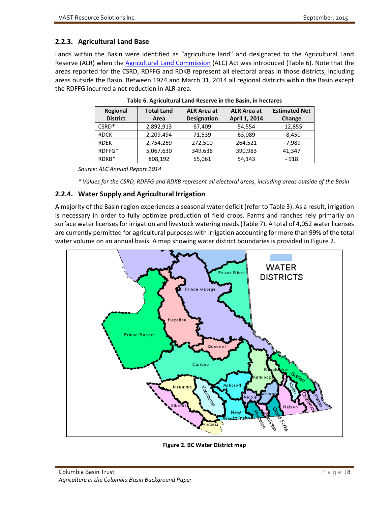# <span id="page-17-0"></span>**2.2.3. Agricultural Land Base**

<span id="page-17-2"></span>Lands within the Basin were identified as "agriculture land" and designated to the Agricultural Land Reserve (ALR) when the **Agricultural Land Commission** (ALC) Act was introduced (Table 6). Note that the areas reported for the CSRD, RDFFG and RDKB represent all electoral areas in those districts, including areas outside the Basin. Between 1974 and March 31, 2014 all regional districts within the Basin except the RDFFG incurred a net reduction in ALR area.

| Regional        | <b>Total Land</b> | <b>ALR Area at</b> | <b>ALR Area at</b> | <b>Estimated Net</b> |
|-----------------|-------------------|--------------------|--------------------|----------------------|
| <b>District</b> | Area              | <b>Designation</b> | April 1, 2014      | Change               |
| $CSRD*$         | 2,892,913         | 67,409             | 54,554             | $-12,855$            |
| <b>RDCK</b>     | 2,209,494         | 71,539             | 63,089             | - 8,450              |
| <b>RDEK</b>     | 2,754,269         | 272,510            | 264,521            | $-7.989$             |
| RDFFG*          | 5,067,630         | 349,636            | 390,983            | 41,347               |
| RDKB*           | 808,192           | 55,061             | 54,143             | $-918$               |

**Table 6. Agricultural Land Reserve in the Basin, in hectares**

*Source: ALC Annual Report 2014*

*\* Values for the CSRD, RDFFG and RDKB represent all electoral areas, including areas outside of the Basin*

## <span id="page-17-1"></span>**2.2.4. Water Supply and Agricultural Irrigation**

A majority of the Basin region experiences a seasonal water deficit (refer to Table 3). As a result, irrigation is necessary in order to fully optimize production of field crops. Farms and ranches rely primarily on surface water licenses for irrigation and livestock watering needs (Table 7). A total of 4,052 water licenses are currently permitted for agricultural purposes with irrigation accounting for more than 99% of the total water volume on an annual basis. A map showing water district boundaries is provided in Figure 2.



<span id="page-17-3"></span>**Figure 2. BC Water District map**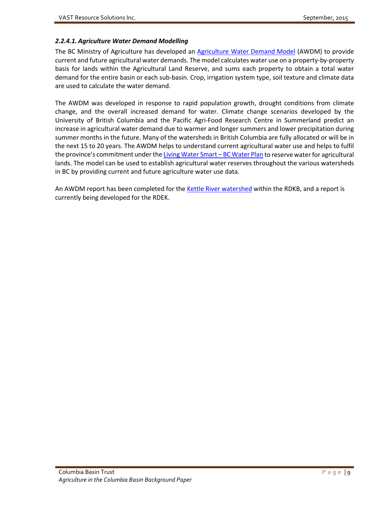#### *2.2.4.1. Agriculture Water Demand Modelling*

The BC Ministry of Agriculture has developed an [Agriculture Water Demand Model](http://www2.gov.bc.ca/gov/content/industry/agriculture-seafood/agricultural-land-and-environment/agriculture-water/water-management/agriculture-water-demand-model) (AWDM) to provide current and future agricultural water demands. The model calculates water use on a property-by-property basis for lands within the Agricultural Land Reserve, and sums each property to obtain a total water demand for the entire basin or each sub-basin. Crop, irrigation system type, soil texture and climate data are used to calculate the water demand.

The AWDM was developed in response to rapid population growth, drought conditions from climate change, and the overall increased demand for water. Climate change scenarios developed by the University of British Columbia and the Pacific Agri-Food Research Centre in Summerland predict an increase in agricultural water demand due to warmer and longer summers and lower precipitation during summer months in the future. Many of the watersheds in British Columbia are fully allocated or will be in the next 15 to 20 years. The AWDM helps to understand current agricultural water use and helps to fulfil the province's commitment under th[e Living Water Smart –](http://www.livingwatersmart.ca/) BC Water Plan to reserve water for agricultural lands. The model can be used to establish agricultural water reserves throughout the various watersheds in BC by providing current and future agriculture water use data.

An AWDM report has been completed for the [Kettle River watershed](http://www2.gov.bc.ca/assets/gov/business/natural-resource-industries/agriculture/agriculture-documents/resource-management/factsheets-and-publications/500-series/500300-5_agric_water_demand_model-kettle_report.pdf) within the RDKB, and a report is currently being developed for the RDEK.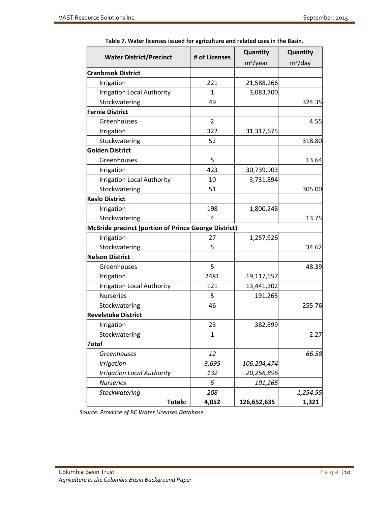<span id="page-19-0"></span>

|                                                      |                | Quantity    | Quantity   |
|------------------------------------------------------|----------------|-------------|------------|
| <b>Water District/Precinct</b>                       | # of Licenses  | $m^3$ /year | $m^3$ /day |
| <b>Cranbrook District</b>                            |                |             |            |
| Irrigation                                           | 221            | 21,588,266  |            |
| <b>Irrigation Local Authority</b>                    | 1              | 3,083,700   |            |
| Stockwatering                                        | 49             |             | 324.35     |
| <b>Fernie District</b>                               |                |             |            |
| Greenhouses                                          | $\overline{2}$ |             | 4.55       |
| Irrigation                                           | 322            | 31,317,675  |            |
| Stockwatering                                        | 52             |             | 318.80     |
| <b>Golden District</b>                               |                |             |            |
| Greenhouses                                          | 5              |             | 13.64      |
| Irrigation                                           | 423            | 30,739,903  |            |
| <b>Irrigation Local Authority</b>                    | 10             | 3,731,894   |            |
| Stockwatering                                        | 51             |             | 305.00     |
| <b>Kaslo District</b>                                |                |             |            |
| Irrigation                                           | 198            | 1,800,248   |            |
| Stockwatering                                        | 4              |             | 13.75      |
| McBride precinct (portion of Prince George District) |                |             |            |
| Irrigation                                           | 27             | 1,257,926   |            |
| Stockwatering                                        | 5              |             | 34.62      |
| <b>Nelson District</b>                               |                |             |            |
| Greenhouses                                          | 5              |             | 48.39      |
| Irrigation                                           | 2481           | 19,117,557  |            |
| <b>Irrigation Local Authority</b>                    | 121            | 13,441,302  |            |
| <b>Nurseries</b>                                     | 5              | 191,265     |            |
| Stockwatering                                        | 46             |             | 255.76     |
| <b>Revelstoke District</b>                           |                |             |            |
| Irrigation                                           | 23             | 382,899     |            |
| Stockwatering                                        | 1              |             | 2.27       |
| <b>Total</b>                                         |                |             |            |
| Greenhouses                                          | 12             |             | 66.58      |
| <b>Irrigation</b>                                    | 3,695          | 106,204,474 |            |
| <b>Irrigation Local Authority</b>                    | 132            | 20,256,896  |            |
| <b>Nurseries</b>                                     | 5              | 191,265     |            |
| <b>Stockwatering</b>                                 | 208            |             | 1,254.55   |
| <b>Totals:</b>                                       | 4,052          | 126,652,635 | 1,321      |

**Table 7. Water licenses issued for agriculture and related uses in the Basin.**

*Source: Province of BC Water Licenses Database*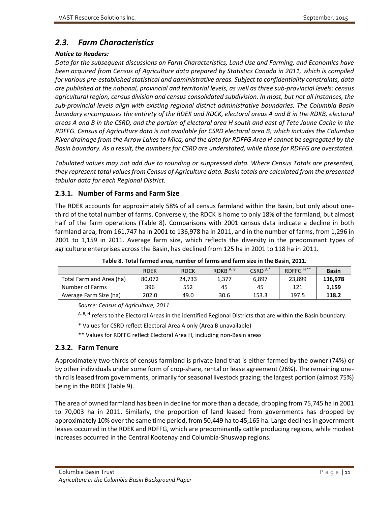# <span id="page-20-0"></span>*2.3. Farm Characteristics*

#### *Notice to Readers:*

*Data for the subsequent discussions on Farm Characteristics, Land Use and Farming, and Economics have been acquired from Census of Agriculture data prepared by Statistics Canada in 2011, which is compiled for various pre-established statistical and administrative areas. Subject to confidentiality constraints, data are published at the national, provincial and territorial levels, as well as three sub-provincial levels: census agricultural region, census division and census consolidated subdivision. In most, but not all instances, the sub-provincial levels align with existing regional district administrative boundaries. The Columbia Basin boundary encompasses the entirety of the RDEK and RDCK, electoral areas A and B in the RDKB, electoral areas A and B in the CSRD, and the portion of electoral area H south and east of Tete Jaune Cache in the RDFFG. Census of Agriculture data is not available for CSRD electoral area B, which includes the Columbia River drainage from the Arrow Lakes to Mica, and the data for RDFFG Area H cannot be segregated by the Basin boundary. As a result, the numbers for CSRD are understated, while those for RDFFG are overstated.*

*Tabulated values may not add due to rounding or suppressed data. Where Census Totals are presented, they represent total values from Census of Agriculture data. Basin totals are calculated from the presented tabular data for each Regional District.*

## <span id="page-20-1"></span>**2.3.1. Number of Farms and Farm Size**

The RDEK accounts for approximately 58% of all census farmland within the Basin, but only about onethird of the total number of farms. Conversely, the RDCK is home to only 18% of the farmland, but almost half of the farm operations (Table 8). Comparisons with 2001 census data indicate a decline in both farmland area, from 161,747 ha in 2001 to 136,978 ha in 2011, and in the number of farms, from 1,296 in 2001 to 1,159 in 2011. Average farm size, which reflects the diversity in the predominant types of agriculture enterprises across the Basin, has declined from 125 ha in 2001 to 118 ha in 2011.

<span id="page-20-3"></span>

|                          | <b>RDEK</b> | <b>RDCK</b> | RDKB $A, B$ | CSRD <sup>A*</sup> | RDFFG <sup>H**</sup> | <b>Basin</b> |
|--------------------------|-------------|-------------|-------------|--------------------|----------------------|--------------|
| Total Farmland Area (ha) | 80.072      | 24.733      | 1.377       | 6.897              | 23,899               | 136,978      |
| Number of Farms          | 396         | 552         | 45          | 45                 | 121                  | 1,159        |
| Average Farm Size (ha)   | 202.0       | 49.0        | 30.6        | 153.3              | 197.5                | 118.2        |

**Table 8. Total farmed area, number of farms and farm size in the Basin, 2011.**

*Source: Census of Agriculture, 2011*

A, B, H refers to the Electoral Areas in the identified Regional Districts that are within the Basin boundary.

- \* Values for CSRD reflect Electoral Area A only (Area B unavailable)
- \*\* Values for RDFFG reflect Electoral Area H, including non-Basin areas

## <span id="page-20-2"></span>**2.3.2. Farm Tenure**

Approximately two-thirds of census farmland is private land that is either farmed by the owner (74%) or by other individuals under some form of crop-share, rental or lease agreement (26%). The remaining onethird is leased from governments, primarily for seasonal livestock grazing; the largest portion (almost 75%) being in the RDEK (Table 9).

The area of owned farmland has been in decline for more than a decade, dropping from 75,745 ha in 2001 to 70,003 ha in 2011. Similarly, the proportion of land leased from governments has dropped by approximately 10% over the same time period, from 50,449 ha to 45,165 ha. Large declines in government leases occurred in the RDEK and RDFFG, which are predominantly cattle producing regions, while modest increases occurred in the Central Kootenay and Columbia-Shuswap regions.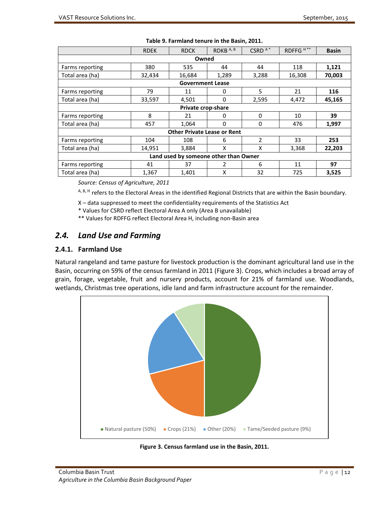<span id="page-21-2"></span>

|                 | <b>RDEK</b> | <b>RDCK</b>                           | RDKB <sup>A,B</sup> | CSRD <sup>A*</sup>       | RDFFG <sup>H**</sup> | <b>Basin</b> |
|-----------------|-------------|---------------------------------------|---------------------|--------------------------|----------------------|--------------|
|                 |             | Owned                                 |                     |                          |                      |              |
| Farms reporting | 380         | 535                                   | 44                  | 44                       | 118                  | 1,121        |
| Total area (ha) | 32,434      | 16,684                                | 1,289               | 3,288                    | 16,308               | 70,003       |
|                 |             | <b>Government Lease</b>               |                     |                          |                      |              |
| Farms reporting | 79          | 11                                    | 0                   | 5                        | 21                   | 116          |
| Total area (ha) | 33,597      | 4,501                                 | 0                   | 2,595                    | 4,472                | 45,165       |
|                 |             | Private crop-share                    |                     |                          |                      |              |
| Farms reporting | 8           | 21                                    | 0                   | $\Omega$                 | 10                   | 39           |
| Total area (ha) | 457         | 1,064                                 | 0                   | $\Omega$                 | 476                  | 1,997        |
|                 |             | <b>Other Private Lease or Rent</b>    |                     |                          |                      |              |
| Farms reporting | 104         | 108                                   | 6                   | $\overline{\phantom{a}}$ | 33                   | 253          |
| Total area (ha) | 14,951      | 3,884                                 | X                   | x                        | 3,368                | 22,203       |
|                 |             | Land used by someone other than Owner |                     |                          |                      |              |
| Farms reporting | 41          | 37                                    | 2                   | 6                        | 11                   | 97           |
| Total area (ha) | 1,367       | 1,401                                 | X                   | 32                       | 725                  | 3,525        |

#### **Table 9. Farmland tenure in the Basin, 2011.**

*Source: Census of Agriculture, 2011*

A, B, H refers to the Electoral Areas in the identified Regional Districts that are within the Basin boundary.

X – data suppressed to meet the confidentiality requirements of the Statistics Act

\* Values for CSRD reflect Electoral Area A only (Area B unavailable)

\*\* Values for RDFFG reflect Electoral Area H, including non-Basin area

# <span id="page-21-0"></span>*2.4. Land Use and Farming*

#### <span id="page-21-1"></span>**2.4.1. Farmland Use**

Natural rangeland and tame pasture for livestock production is the dominant agricultural land use in the Basin, occurring on 59% of the census farmland in 2011 (Figure 3). Crops, which includes a broad array of grain, forage, vegetable, fruit and nursery products, account for 21% of farmland use. Woodlands, wetlands, Christmas tree operations, idle land and farm infrastructure account for the remainder.



<span id="page-21-3"></span>**Figure 3. Census farmland use in the Basin, 2011.**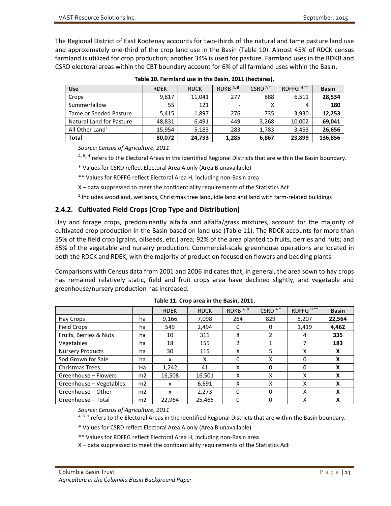The Regional District of East Kootenay accounts for two-thirds of the natural and tame pasture land use and approximately one-third of the crop land use in the Basin (Table 10). Almost 45% of RDCK census farmland is utilized for crop production; another 34% is used for pasture. Farmland uses in the RDKB and CSRD electoral areas within the CBT boundary account for 6% of all farmland uses within the Basin.

<span id="page-22-1"></span>

| <b>Use</b>                  | <b>RDEK</b> | <b>RDCK</b> | RDKB <sup>A,B</sup>      | CSRD <sup>A*</sup> | RDFFG <sup>H**</sup> | <b>Basin</b> |
|-----------------------------|-------------|-------------|--------------------------|--------------------|----------------------|--------------|
| Crops                       | 9.817       | 11,041      | 277                      | 888                | 6,511                | 28,534       |
| Summerfallow                | 55          | 121         | $\overline{\phantom{a}}$ |                    | 4                    | 180          |
| Tame or Seeded Pasture      | 5,415       | 1,897       | 276                      | 735                | 3,930                | 12,253       |
| Natural Land for Pasture    | 48.831      | 6.491       | 449                      | 3,268              | 10,002               | 69,041       |
| All Other Land <sup>1</sup> | 15,954      | 5,183       | 283                      | 1,783              | 3,453                | 26,656       |
| <b>Total</b>                | 80,072      | 24,733      | 1,285                    | 6,867              | 23,899               | 136,856      |

**Table 10. Farmland use in the Basin, 2011 (hectares).**

*Source: Census of Agriculture, 2011*

A, B, H refers to the Electoral Areas in the identified Regional Districts that are within the Basin boundary.

\* Values for CSRD reflect Electoral Area A only (Area B unavailable)

\*\* Values for RDFFG reflect Electoral Area H, including non-Basin area

X – data suppressed to meet the confidentiality requirements of the Statistics Act

<sup>1</sup> Includes woodland, wetlands, Christmas tree land, idle land and land with farm-related buildings

#### <span id="page-22-0"></span>**2.4.2. Cultivated Field Crops (Crop Type and Distribution)**

Hay and forage crops, predominantly alfalfa and alfalfa/grass mixtures, account for the majority of cultivated crop production in the Basin based on land use (Table 11). The RDCK accounts for more than 55% of the field crop (grains, oilseeds, etc.) area; 92% of the area planted to fruits, berries and nuts; and 85% of the vegetable and nursery production. Commercial-scale greenhouse operations are located in both the RDCK and RDEK, with the majority of production focused on flowers and bedding plants.

Comparisons with Census data from 2001 and 2006 indicates that, in general, the area sown to hay crops has remained relatively static, field and fruit crops area have declined slightly, and vegetable and greenhouse/nursery production has increased.

<span id="page-22-2"></span>

|                         |                | <b>RDEK</b> | <b>RDCK</b> | RDKB <sup>A,B</sup> | CSRD <sup>A*</sup> | RDFFG <sup>H**</sup> | <b>Basin</b> |
|-------------------------|----------------|-------------|-------------|---------------------|--------------------|----------------------|--------------|
| Hay Crops               | ha             | 9,166       | 7,098       | 264                 | 829                | 5,207                | 22,564       |
| Field Crops             | ha             | 549         | 2,494       | 0                   | 0                  | 1.419                | 4,462        |
| Fruits, Berries & Nuts  | ha             | 10          | 311         | 8                   | 2                  | 4                    | 335          |
| <b>Vegetables</b>       | ha             | 18          | 155         | $\mathcal{P}$       |                    |                      | 183          |
| <b>Nursery Products</b> | ha             | 30          | 115         | X                   | 5                  | χ                    | X            |
| Sod Grown for Sale      | ha             | x           | χ           | 0                   | x                  | 0                    | x            |
| <b>Christmas Trees</b>  | Ha             | 1,242       | 41          | x                   | 0                  | 0                    | x            |
| Greenhouse - Flowers    | m <sub>2</sub> | 16,508      | 16,501      | Χ                   | X                  | X                    | x            |
| Greenhouse - Vegetables | m <sub>2</sub> | x           | 6,691       | x                   | x                  | X                    | x            |
| Greenhouse - Other      | m <sub>2</sub> | x           | 2,273       | $\Omega$            | $\Omega$           | X                    | X            |
| Greenhouse - Total      | m2             | 22,964      | 25,465      | $\Omega$            | 0                  | X                    |              |

|  | Table 11. Crop area in the Basin, 2011. |
|--|-----------------------------------------|
|--|-----------------------------------------|

*Source: Census of Agriculture, 2011*

A, B, H refers to the Electoral Areas in the identified Regional Districts that are within the Basin boundary.

\* Values for CSRD reflect Electoral Area A only (Area B unavailable)

\*\* Values for RDFFG reflect Electoral Area H, including non-Basin area

X – data suppressed to meet the confidentiality requirements of the Statistics Act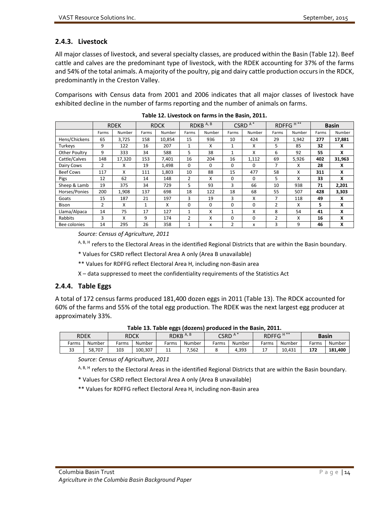# <span id="page-23-0"></span>**2.4.3. Livestock**

All major classes of livestock, and several specialty classes, are produced within the Basin (Table 12). Beef cattle and calves are the predominant type of livestock, with the RDEK accounting for 37% of the farms and 54% of the total animals. A majority of the poultry, pig and dairy cattle production occurs in the RDCK, predominantly in the Creston Valley.

Comparisons with Census data from 2001 and 2006 indicates that all major classes of livestock have exhibited decline in the number of farms reporting and the number of animals on farms.

<span id="page-23-2"></span>

|                  |       | <b>RDEK</b> |       | <b>RDCK</b> |              | RDKB <sup>A,B</sup> |                | CSRD <sup>A*</sup> |                | RDFFG <sup>H**</sup> |       | <b>Basin</b> |
|------------------|-------|-------------|-------|-------------|--------------|---------------------|----------------|--------------------|----------------|----------------------|-------|--------------|
|                  | Farms | Number      | Farms | Number      | Farms        | Number              | Farms          | Number             | Farms          | Number               | Farms | Number       |
| Hens/Chickens    | 65    | 3,725       | 158   | 10,854      | 15           | 936                 | 10             | 424                | 29             | 1,942                | 277   | 17,881       |
| Turkeys          | 9     | 122         | 16    | 207         | 1            | x                   | 1              | x                  | 5              | 85                   | 32    | x            |
| Other Poultry    | 9     | 333         | 34    | 588         | 5            | 38                  | $\mathbf{1}$   | x                  | 6              | 92                   | 55    | X            |
| Cattle/Calves    | 148   | 17,320      | 153   | 7,401       | 16           | 204                 | 16             | 1,112              | 69             | 5,926                | 402   | 31,963       |
| Dairy Cows       | 2     | x           | 19    | 1,498       | 0            | 0                   | 0              | $\Omega$           | 7              | x                    | 28    | X            |
| <b>Beef Cows</b> | 117   | x           | 111   | 1.803       | 10           | 88                  | 15             | 477                | 58             | X                    | 311   | X            |
| Pigs             | 12    | 62          | 14    | 148         | 2            | X                   | $\Omega$       | $\Omega$           | 5              | x                    | 33    | X            |
| Sheep & Lamb     | 19    | 375         | 34    | 729         | 5            | 93                  | 3              | 66                 | 10             | 938                  | 71    | 2,201        |
| Horses/Ponies    | 200   | 1,908       | 137   | 698         | 18           | 122                 | 18             | 68                 | 55             | 507                  | 428   | 3,303        |
| Goats            | 15    | 187         | 21    | 197         | 3            | 19                  | 3              | x                  | 7              | 118                  | 49    | X            |
| <b>Bison</b>     | 2     | X           | 1     | X           | 0            | $\Omega$            | $\Omega$       | 0                  | $\overline{2}$ | x                    | 5     | x            |
| Llama/Alpaca     | 14    | 75          | 17    | 127         | 1            | x                   | 1              | x                  | 8              | 54                   | 41    | X            |
| Rabbits          | 3     | x           | 9     | 174         | 2            | X                   | $\Omega$       | $\Omega$           | $\overline{2}$ | X                    | 16    | x            |
| Bee colonies     | 14    | 295         | 26    | 358         | $\mathbf{1}$ | x                   | $\overline{2}$ | x                  | 3              | 9                    | 46    | x            |

| Table 12. Livestock on farms in the Basin, 2011. |
|--------------------------------------------------|
|--------------------------------------------------|

*Source: Census of Agriculture, 2011*

A, B, H refers to the Electoral Areas in the identified Regional Districts that are within the Basin boundary.

\* Values for CSRD reflect Electoral Area A only (Area B unavailable)

\*\* Values for RDFFG reflect Electoral Area H, including non-Basin area

X – data suppressed to meet the confidentiality requirements of the Statistics Act

## <span id="page-23-1"></span>**2.4.4. Table Eggs**

A total of 172 census farms produced 181,400 dozen eggs in 2011 (Table 13). The RDCK accounted for 60% of the farms and 55% of the total egg production. The RDEK was the next largest egg producer at approximately 33%.

<span id="page-23-3"></span>

| $1400 - 201$ $1400 - 980$ (absolute) produced in the basing substitution |        |       |         |       |                     |                    |        |                      |        |              |         |
|--------------------------------------------------------------------------|--------|-------|---------|-------|---------------------|--------------------|--------|----------------------|--------|--------------|---------|
| <b>RDEK</b>                                                              |        |       | RDCK    |       | RDKB <sup>A,B</sup> | CSRD <sup>A*</sup> |        | RDFFG <sup>H**</sup> |        | <b>Basin</b> |         |
| Farms                                                                    | Number | Farms | Number  | Farms | Number              | Farms              | Number | Farms                | Number | Farms        | Number  |
| 33                                                                       | 58.707 | 103   | 100.307 | 11    | 7.562               |                    | 4.393  |                      | 10.431 | 172          | 181.400 |
|                                                                          |        |       |         |       |                     |                    |        |                      |        |              |         |

**Table 13. Table eggs (dozens) produced in the Basin, 2011.**

*Source: Census of Agriculture, 2011*

A, B, H refers to the Electoral Areas in the identified Regional Districts that are within the Basin boundary.

\* Values for CSRD reflect Electoral Area A only (Area B unavailable)

\*\* Values for RDFFG reflect Electoral Area H, including non-Basin area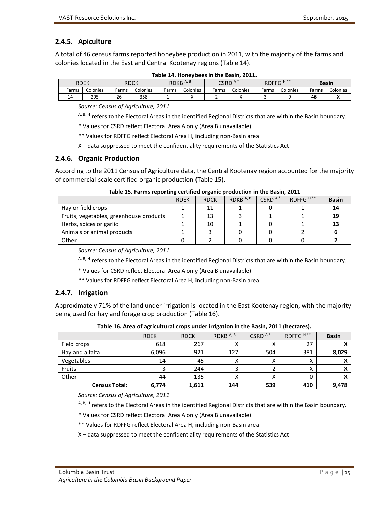# <span id="page-24-0"></span>**2.4.5. Apiculture**

A total of 46 census farms reported honeybee production in 2011, with the majority of the farms and colonies located in the East and Central Kootenay regions (Table 14).

<span id="page-24-3"></span>

| $H^{**}$<br>RDKB <sup>A,B</sup><br>$A^*$<br><b>CSRD</b><br><b>RDFFG</b><br>RDEK<br><b>RDCK</b><br><b>Basin</b><br>Colonies<br>Colonies<br>Colonies<br>Farms<br>Colonies<br>Colonies<br>Colonies<br>Farms<br>Farms<br>Farms<br>-arms<br>Farms<br>26<br>358<br>295<br>14<br>46 |  |  |  |  |  |  |  |  |  |  |  |  |  |
|------------------------------------------------------------------------------------------------------------------------------------------------------------------------------------------------------------------------------------------------------------------------------|--|--|--|--|--|--|--|--|--|--|--|--|--|
|                                                                                                                                                                                                                                                                              |  |  |  |  |  |  |  |  |  |  |  |  |  |
|                                                                                                                                                                                                                                                                              |  |  |  |  |  |  |  |  |  |  |  |  |  |
|                                                                                                                                                                                                                                                                              |  |  |  |  |  |  |  |  |  |  |  |  |  |

**Table 14. Honeybees in the Basin, 2011.**

*Source: Census of Agriculture, 2011*

A, B, H refers to the Electoral Areas in the identified Regional Districts that are within the Basin boundary.

\* Values for CSRD reflect Electoral Area A only (Area B unavailable)

\*\* Values for RDFFG reflect Electoral Area H, including non-Basin area

X – data suppressed to meet the confidentiality requirements of the Statistics Act

#### <span id="page-24-1"></span>**2.4.6. Organic Production**

According to the 2011 Census of Agriculture data, the Central Kootenay region accounted for the majority of commercial-scale certified organic production (Table 15).

<span id="page-24-4"></span>

|                                         | <b>RDEK</b> | <b>RDCK</b> | RDKB <sup>A,B</sup> | CSRD <sup>A*</sup> | RDFFG <sup>H**</sup> | <b>Basin</b> |
|-----------------------------------------|-------------|-------------|---------------------|--------------------|----------------------|--------------|
| Hay or field crops                      |             | 11          |                     |                    |                      | 14           |
| Fruits, vegetables, greenhouse products |             | 13          |                     |                    |                      | 19           |
| Herbs, spices or garlic                 |             | 10          |                     |                    |                      | 13           |
| Animals or animal products              |             |             |                     |                    |                      |              |
| Other                                   |             |             |                     |                    |                      |              |

#### **Table 15. Farms reporting certified organic production in the Basin, 2011**

*Source: Census of Agriculture, 2011*

A, B, H refers to the Electoral Areas in the identified Regional Districts that are within the Basin boundary.

\* Values for CSRD reflect Electoral Area A only (Area B unavailable)

\*\* Values for RDFFG reflect Electoral Area H, including non-Basin area

#### <span id="page-24-2"></span>**2.4.7. Irrigation**

Approximately 71% of the land under irrigation is located in the East Kootenay region, with the majority being used for hay and forage crop production (Table 16).

<span id="page-24-5"></span>

|                      | <b>RDEK</b> | <b>RDCK</b> | RDKB <sup>A,B</sup> | CSRD <sup>A*</sup> | RDFFG <sup>H**</sup> | <b>Basin</b> |
|----------------------|-------------|-------------|---------------------|--------------------|----------------------|--------------|
| Field crops          | 618         | 267         |                     |                    | 27                   |              |
| Hay and alfalfa      | 6,096       | 921         | 127                 | 504                | 381                  | 8,029        |
| Vegetables           | 14          | 45          | ́                   | $\lambda$          | Λ                    |              |
| Fruits               |             | 244         |                     |                    | ́                    |              |
| Other                | 44          | 135         |                     |                    |                      |              |
| <b>Census Total:</b> | 6,774       | 1,611       | 144                 | 539                | 410                  | 9,478        |

**Table 16. Area of agricultural crops under irrigation in the Basin, 2011 (hectares).**

*Source: Census of Agriculture, 2011*

A, B, H refers to the Electoral Areas in the identified Regional Districts that are within the Basin boundary.

\* Values for CSRD reflect Electoral Area A only (Area B unavailable)

\*\* Values for RDFFG reflect Electoral Area H, including non-Basin area

X – data suppressed to meet the confidentiality requirements of the Statistics Act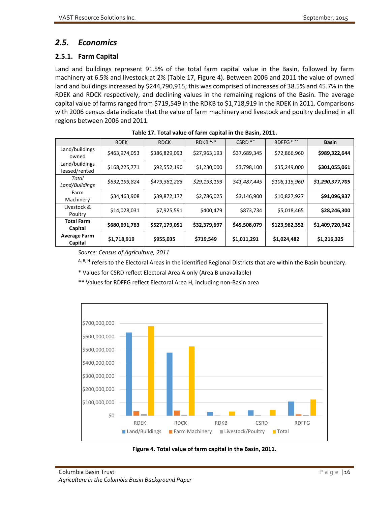# <span id="page-25-0"></span>*2.5. Economics*

## <span id="page-25-1"></span>**2.5.1. Farm Capital**

Land and buildings represent 91.5% of the total farm capital value in the Basin, followed by farm machinery at 6.5% and livestock at 2% (Table 17, Figure 4). Between 2006 and 2011 the value of owned land and buildings increased by \$244,790,915; this was comprised of increases of 38.5% and 45.7% in the RDEK and RDCK respectively, and declining values in the remaining regions of the Basin. The average capital value of farms ranged from \$719,549 in the RDKB to \$1,718,919 in the RDEK in 2011. Comparisons with 2006 census data indicate that the value of farm machinery and livestock and poultry declined in all regions between 2006 and 2011.

<span id="page-25-2"></span>

|                                 | <b>RDEK</b>   | <b>RDCK</b>   | RDKB A, B    | CSRD $A^*$   | RDFFG <sup>H**</sup> | <b>Basin</b>    |
|---------------------------------|---------------|---------------|--------------|--------------|----------------------|-----------------|
| Land/buildings<br>owned         | \$463,974,053 | \$386,829,093 | \$27,963,193 | \$37,689,345 | \$72,866,960         | \$989,322,644   |
| Land/buildings<br>leased/rented | \$168,225,771 | \$92,552,190  | \$1,230,000  | \$3,798,100  | \$35,249,000         | \$301,055,061   |
| Total<br>Land/Buildings         | \$632,199,824 | \$479,381,283 | \$29,193,193 | \$41,487,445 | \$108,115,960        | \$1,290,377,705 |
| Farm<br>Machinery               | \$34,463,908  | \$39,872,177  | \$2,786,025  | \$3,146,900  | \$10,827,927         | \$91,096,937    |
| Livestock &<br>Poultry          | \$14,028,031  | \$7,925,591   | \$400,479    | \$873,734    | \$5,018,465          | \$28,246,300    |
| <b>Total Farm</b><br>Capital    | \$680,691,763 | \$527,179,051 | \$32,379,697 | \$45,508,079 | \$123,962,352        | \$1,409,720,942 |
| <b>Average Farm</b><br>Capital  | \$1,718,919   | \$955,035     | \$719,549    | \$1,011,291  | \$1,024,482          | \$1,216,325     |

*Source: Census of Agriculture, 2011*

A, B, H refers to the Electoral Areas in the identified Regional Districts that are within the Basin boundary.

\* Values for CSRD reflect Electoral Area A only (Area B unavailable)

\*\* Values for RDFFG reflect Electoral Area H, including non-Basin area



<span id="page-25-3"></span>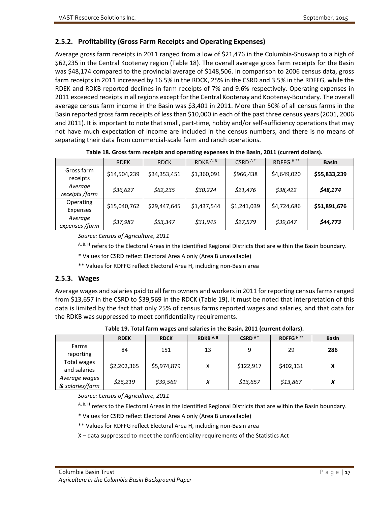## <span id="page-26-0"></span>**2.5.2. Profitability (Gross Farm Receipts and Operating Expenses)**

Average gross farm receipts in 2011 ranged from a low of \$21,476 in the Columbia-Shuswap to a high of \$62,235 in the Central Kootenay region (Table 18). The overall average gross farm receipts for the Basin was \$48,174 compared to the provincial average of \$148,506. In comparison to 2006 census data, gross farm receipts in 2011 increased by 16.5% in the RDCK, 25% in the CSRD and 3.5% in the RDFFG, while the RDEK and RDKB reported declines in farm receipts of 7% and 9.6% respectively. Operating expenses in 2011 exceeded receipts in all regions except for the Central Kootenay and Kootenay-Boundary. The overall average census farm income in the Basin was \$3,401 in 2011. More than 50% of all census farms in the Basin reported gross farm receipts of less than \$10,000 in each of the past three census years (2001, 2006 and 2011). It is important to note that small, part-time, hobby and/or self-sufficiency operations that may not have much expectation of income are included in the census numbers, and there is no means of separating their data from commercial-scale farm and ranch operations.

<span id="page-26-2"></span>

|                           | <b>RDEK</b>  | <b>RDCK</b>  | RDKB <sup>A,B</sup> | CSRD $A^*$  | RDFFG <sup>H**</sup> | <b>Basin</b> |
|---------------------------|--------------|--------------|---------------------|-------------|----------------------|--------------|
| Gross farm<br>receipts    | \$14,504,239 | \$34,353,451 | \$1,360,091         | \$966,438   | \$4,649,020          | \$55,833,239 |
| Average<br>receipts /farm | \$36,627     | \$62,235     | \$30,224            | \$21,476    | \$38,422             | \$48,174     |
| Operating<br>Expenses     | \$15,040,762 | \$29,447,645 | \$1,437,544         | \$1,241,039 | \$4,724,686          | \$51,891,676 |
| Average<br>expenses /farm | \$37,982     | \$53,347     | \$31,945            | \$27,579    | \$39,047             | \$44,773     |

**Table 18. Gross farm receipts and operating expenses in the Basin, 2011 (current dollars).**

*Source: Census of Agriculture, 2011*

A, B, H refers to the Electoral Areas in the identified Regional Districts that are within the Basin boundary.

\* Values for CSRD reflect Electoral Area A only (Area B unavailable)

\*\* Values for RDFFG reflect Electoral Area H, including non-Basin area

#### <span id="page-26-1"></span>**2.5.3. Wages**

Average wages and salaries paid to all farm owners and workers in 2011 for reporting census farms ranged from \$13,657 in the CSRD to \$39,569 in the RDCK (Table 19). It must be noted that interpretation of this data is limited by the fact that only 25% of census farms reported wages and salaries, and that data for the RDKB was suppressed to meet confidentiality requirements.

<span id="page-26-3"></span>

|                                  | <b>RDEK</b> | <b>RDCK</b> | RDKB A, B | CSRD <sup>A*</sup> | RDFFG <sup>H**</sup> | <b>Basin</b> |
|----------------------------------|-------------|-------------|-----------|--------------------|----------------------|--------------|
| Farms<br>reporting               | 84          | 151         | 13        | 9                  | 29                   | 286          |
| Total wages<br>and salaries      | \$2,202,365 | \$5,974,879 | Χ         | \$122,917          | \$402,131            | Χ            |
| Average wages<br>& salaries/farm | \$26,219    | \$39,569    | Х         | \$13,657           | \$13,867             | v            |

**Table 19. Total farm wages and salaries in the Basin, 2011 (current dollars).**

*Source: Census of Agriculture, 2011*

<sup>A, B, H</sup> refers to the Electoral Areas in the identified Regional Districts that are within the Basin boundary.

\* Values for CSRD reflect Electoral Area A only (Area B unavailable)

\*\* Values for RDFFG reflect Electoral Area H, including non-Basin area

X – data suppressed to meet the confidentiality requirements of the Statistics Act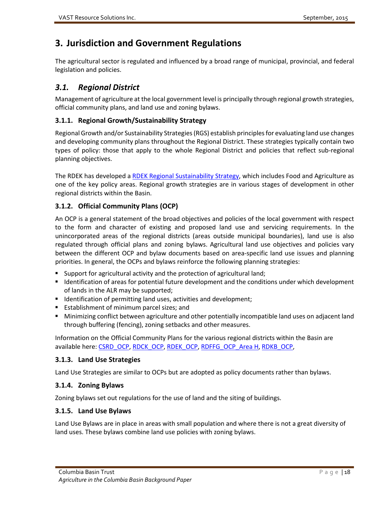# <span id="page-27-0"></span>**3. Jurisdiction and Government Regulations**

The agricultural sector is regulated and influenced by a broad range of municipal, provincial, and federal legislation and policies.

# <span id="page-27-1"></span>*3.1. Regional District*

Management of agriculture at the local government level is principally through regional growth strategies, official community plans, and land use and zoning bylaws.

#### <span id="page-27-2"></span>**3.1.1. Regional Growth/Sustainability Strategy**

Regional Growth and/or Sustainability Strategies (RGS) establish principles for evaluating land use changes and developing community plans throughout the Regional District. These strategies typically contain two types of policy: those that apply to the whole Regional District and policies that reflect sub-regional planning objectives.

The RDEK has developed a [RDEK Regional Sustainability Strategy,](ftp://ftp.rdek.bc.ca/pdf/rssadoptedoct_14.pdf) which includes Food and Agriculture as one of the key policy areas. Regional growth strategies are in various stages of development in other regional districts within the Basin.

## <span id="page-27-3"></span>**3.1.2. Official Community Plans (OCP)**

An OCP is a general statement of the broad objectives and policies of the local government with respect to the form and character of existing and proposed land use and servicing requirements. In the unincorporated areas of the regional districts (areas outside municipal boundaries), land use is also regulated through official plans and zoning bylaws. Agricultural land use objectives and policies vary between the different OCP and bylaw documents based on area-specific land use issues and planning priorities. In general, the OCPs and bylaws reinforce the following planning strategies:

- **Support for agricultural activity and the protection of agricultural land;**
- Identification of areas for potential future development and the conditions under which development of lands in the ALR may be supported;
- Identification of permitting land uses, activities and development;
- **Establishment of minimum parcel sizes; and**
- Minimizing conflict between agriculture and other potentially incompatible land uses on adjacent land through buffering (fencing), zoning setbacks and other measures.

Information on the Official Community Plans for the various regional districts within the Basin are available here[: CSRD\\_OCP,](http://www.csrd.bc.ca/services/development-planning/official-community-plans) [RDCK\\_OCP,](http://www.rdck.ca/EN/main/services/land-use-planning/ocp-zoning-amendments.html) [RDEK\\_OCP,](http://www.rdek.bc.ca/bylaws/ocp_zoning_landuse/ocp/) [RDFFG\\_OCP\\_Area H,](http://www.rdffg.bc.ca/services/development/land-use-planning/official-community-plans/Area-H-Up) [RDKB\\_OCP,](http://www.rdkb.com/Services/Planning/OfficialCommunityPlans.aspx)

## <span id="page-27-4"></span>**3.1.3. Land Use Strategies**

Land Use Strategies are similar to OCPs but are adopted as policy documents rather than bylaws.

## <span id="page-27-5"></span>**3.1.4. Zoning Bylaws**

Zoning bylaws set out regulations for the use of land and the siting of buildings.

#### <span id="page-27-6"></span>**3.1.5. Land Use Bylaws**

Land Use Bylaws are in place in areas with small population and where there is not a great diversity of land uses. These bylaws combine land use policies with zoning bylaws.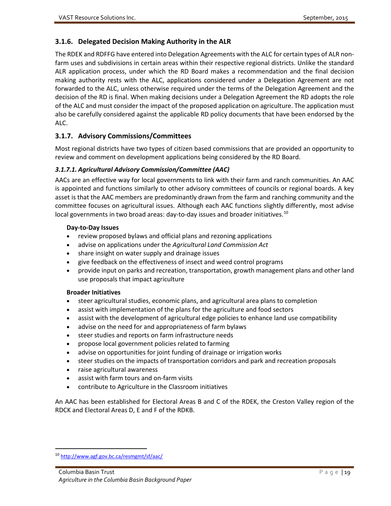#### <span id="page-28-0"></span>**3.1.6. Delegated Decision Making Authority in the ALR**

The RDEK and RDFFG have entered into Delegation Agreements with the ALC for certain types of ALR nonfarm uses and subdivisions in certain areas within their respective regional districts. Unlike the standard ALR application process, under which the RD Board makes a recommendation and the final decision making authority rests with the ALC, applications considered under a Delegation Agreement are not forwarded to the ALC, unless otherwise required under the terms of the Delegation Agreement and the decision of the RD is final. When making decisions under a Delegation Agreement the RD adopts the role of the ALC and must consider the impact of the proposed application on agriculture. The application must also be carefully considered against the applicable RD policy documents that have been endorsed by the ALC.

#### <span id="page-28-1"></span>**3.1.7. Advisory Commissions/Committees**

Most regional districts have two types of citizen based commissions that are provided an opportunity to review and comment on development applications being considered by the RD Board.

#### *3.1.7.1. Agricultural Advisory Commission/Committee (AAC)*

AACs are an effective way for local governments to link with their farm and ranch communities. An AAC is appointed and functions similarly to other advisory committees of councils or regional boards. A key asset is that the AAC members are predominantly drawn from the farm and ranching community and the committee focuses on agricultural issues. Although each AAC functions slightly differently, most advise local governments in two broad areas: day-to-day issues and broader initiatives.<sup>10</sup>

#### **Day-to-Day Issues**

- review proposed bylaws and official plans and rezoning applications
- advise on applications under the *Agricultural Land Commission Act*
- share insight on water supply and drainage issues
- give feedback on the effectiveness of insect and weed control programs
- provide input on parks and recreation, transportation, growth management plans and other land use proposals that impact agriculture

#### **Broader Initiatives**

- steer agricultural studies, economic plans, and agricultural area plans to completion
- assist with implementation of the plans for the agriculture and food sectors
- assist with the development of agricultural edge policies to enhance land use compatibility
- advise on the need for and appropriateness of farm bylaws
- steer studies and reports on farm infrastructure needs
- propose local government policies related to farming
- advise on opportunities for joint funding of drainage or irrigation works
- steer studies on the impacts of transportation corridors and park and recreation proposals
- raise agricultural awareness
- assist with farm tours and on-farm visits
- contribute to Agriculture in the Classroom initiatives

An AAC has been established for Electoral Areas B and C of the RDEK, the Creston Valley region of the RDCK and Electoral Areas D, E and F of the RDKB.

<span id="page-28-2"></span> <sup>10</sup> <http://www.agf.gov.bc.ca/resmgmt/sf/aac/>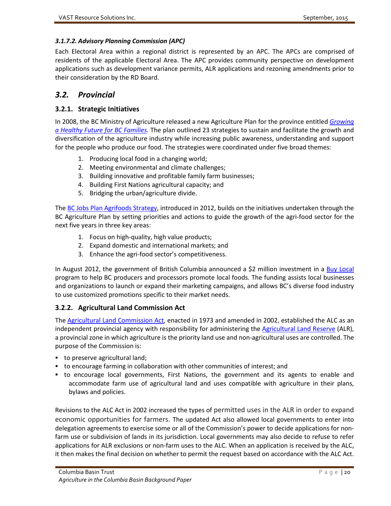#### *3.1.7.2. Advisory Planning Commission (APC)*

Each Electoral Area within a regional district is represented by an APC. The APCs are comprised of residents of the applicable Electoral Area. The APC provides community perspective on development applications such as development variance permits, ALR applications and rezoning amendments prior to their consideration by the RD Board.

# <span id="page-29-0"></span>*3.2. Provincial*

#### <span id="page-29-1"></span>**3.2.1. Strategic Initiatives**

In 2008, the BC Ministry of Agriculture released a new Agriculture Plan for the province entitled *[Growing](http://bitsandbytes.ca/sites/default/files/Agriculture_Plan.pdf)  [a Healthy Future for BC Families.](http://bitsandbytes.ca/sites/default/files/Agriculture_Plan.pdf)* The plan outlined 23 strategies to sustain and facilitate the growth and diversification of the agriculture industry while increasing public awareness, understanding and support for the people who produce our food. The strategies were coordinated under five broad themes:

- 1. Producing local food in a changing world;
- 2. Meeting environmental and climate challenges;
- 3. Building innovative and profitable family farm businesses;
- 4. Building First Nations agricultural capacity; and
- 5. Bridging the urban/agriculture divide.

Th[e BC Jobs Plan Agrifoods Strategy,](http://www.gov.bc.ca/agri/down/bc_agrifoods_strategy.pdf) introduced in 2012, builds on the initiatives undertaken through the BC Agriculture Plan by setting priorities and actions to guide the growth of the agri-food sector for the next five years in three key areas:

- 1. Focus on high-quality, high value products;
- 2. Expand domestic and international markets; and
- 3. Enhance the agri-food sector's competitiveness.

In August 2012, the government of British Columbia announced a \$2 million investment in a [Buy Local](http://www.gov.bc.ca/agri/buylocal.html) program to help BC producers and processors promote local foods. The funding assists local businesses and organizations to launch or expand their marketing campaigns, and allows BC's diverse food industry to use customized promotions specific to their market needs.

#### <span id="page-29-2"></span>**3.2.2. Agricultural Land Commission Act**

Th[e Agricultural Land Commission Act,](http://www.bclaws.ca/EPLibraries/bclaws_new/document/ID/freeside/00_02036_01) enacted in 1973 and amended in 2002, established the ALC as an independent provincial agency with responsibility for administering the **Agricultural Land Reserve (ALR)**, a provincial zone in which agriculture is the priority land use and non-agricultural uses are controlled. The purpose of the Commission is:

- to preserve agricultural land;
- to encourage farming in collaboration with other communities of interest; and
- to encourage local governments, First Nations, the government and its agents to enable and accommodate farm use of agricultural land and uses compatible with agriculture in their plans, bylaws and policies.

Revisions to the ALC Act in 2002 increased the types of permitted uses in the ALR in order to expand economic opportunities for farmers. The updated Act also allowed local governments to enter into delegation agreements to exercise some or all of the Commission's power to decide applications for nonfarm use or subdivision of lands in its jurisdiction. Local governments may also decide to refuse to refer applications for ALR exclusions or non-farm uses to the ALC. When an application is received by the ALC, it then makes the final decision on whether to permit the request based on accordance with the ALC Act.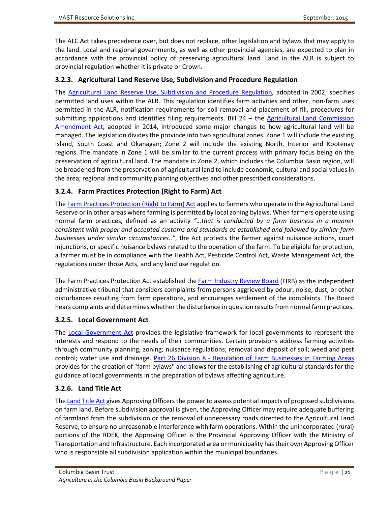The ALC Act takes precedence over, but does not replace, other legislation and bylaws that may apply to the land. Local and regional governments, as well as other provincial agencies, are expected to plan in accordance with the provincial policy of preserving agricultural land. Land in the ALR is subject to provincial regulation whether it is private or Crown.

#### <span id="page-30-0"></span>**3.2.3. Agricultural Land Reserve Use, Subdivision and Procedure Regulation**

The [Agricultural Land Reserve Use, Subdivision and Procedure Regulation,](http://www.alc.gov.bc.ca/legislation/Reg/ALR_Use-Subd-Proc_Reg.htm) adopted in 2002, specifies permitted land uses within the ALR. This regulation identifies farm activities and other, non-farm uses permitted in the ALR, notification requirements for soil removal and placement of fill, procedures for submitting applications and identifies filing requirements. Bill 24 – the [Agricultural Land Commission](https://www.leg.bc.ca/40th2nd/3rd_read/gov24-3.htm)  [Amendment Act,](https://www.leg.bc.ca/40th2nd/3rd_read/gov24-3.htm) adopted in 2014, introduced some major changes to how agricultural land will be managed. The legislation divides the province into two agricultural zones. Zone 1 will include the existing Island, South Coast and Okanagan; Zone 2 will include the existing North, Interior and Kootenay regions. The mandate in Zone 1 will be similar to the current process with primary focus being on the preservation of agricultural land. The mandate in Zone 2, which includes the Columbia Basin region, will be broadened from the preservation of agricultural land to include economic, cultural and social values in the area; regional and community planning objectives and other prescribed considerations.

#### <span id="page-30-1"></span>**3.2.4. Farm Practices Protection (Right to Farm) Act**

Th[e Farm Practices Protection \(Right to Farm\) Act](http://www.bclaws.ca/EPLibraries/bclaws_new/document/ID/freeside/00_96131_01) applies to farmers who operate in the Agricultural Land Reserve or in other areas where farming is permitted by local zoning bylaws. When farmers operate using normal farm practices, defined as an activity *"…that is conducted by a farm business in a manner consistent with proper and accepted customs and standards as established and followed by similar farm businesses under similar circumstances.."*, the Act protects the farmer against nuisance actions, court injunctions, or specific nuisance bylaws related to the operation of the farm. To be eligible for protection, a farmer must be in compliance with the Health Act, Pesticide Control Act, Waste Management Act, the regulations under those Acts, and any land use regulation.

The Farm Practices Protection Act established th[e Farm Industry Review Board](http://www.firb.gov.bc.ca/) (FIRB) as the independent administrative tribunal that considers complaints from persons aggrieved by odour, noise, dust, or other disturbances resulting from farm operations, and encourages settlement of the complaints. The Board hears complaints and determines whether the disturbance in question results from normal farm practices.

#### <span id="page-30-2"></span>**3.2.5. Local Government Act**

The [Local Government Act](http://www.bclaws.ca/EPLibraries/bclaws_new/document/ID/freeside/96323_00) provides the legislative framework for local governments to represent the interests and respond to the needs of their communities. Certain provisions address farming activities through community planning; zoning; nuisance regulations; removal and deposit of soil; weed and pest control; water use and drainage. Part 26 Division 8 - [Regulation of Farm Businesses in Farming Areas](http://www.bclaws.ca/EPLibraries/bclaws_new/document/ID/freeside/96323_30) provides for the creation of "farm bylaws" and allows for the establishing of agricultural standards for the guidance of local governments in the preparation of bylaws affecting agriculture.

#### <span id="page-30-3"></span>**3.2.6. Land Title Act**

Th[e Land Title Act](http://www.bclaws.ca/EPLibraries/bclaws_new/document/ID/freeside/96250_00) gives Approving Officers the power to assess potential impacts of proposed subdivisions on farm land. Before subdivision approval is given, the Approving Officer may require adequate buffering of farmland from the subdivision or the removal of unnecessary roads directed to the Agricultural Land Reserve, to ensure no unreasonable interference with farm operations. Within the unincorporated (rural) portions of the RDEK, the Approving Officer is the Provincial Approving Officer with the Ministry of Transportation and Infrastructure. Each incorporated area or municipality has their own Approving Officer who is responsible all subdivision application within the municipal boundaries.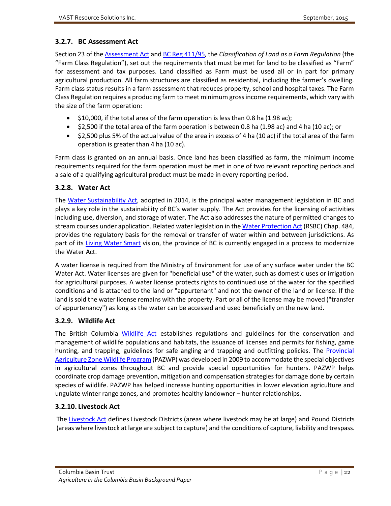#### <span id="page-31-0"></span>**3.2.7. BC Assessment Act**

Section 23 of the [Assessment Act](http://www.bclaws.ca/EPLibraries/bclaws_new/document/ID/freeside/00_96020_01#section23) an[d BC Reg 411/95,](http://www.bclaws.ca/EPLibraries/bclaws_new/document/ID/freeside/411_95) the *Classification of Land as a Farm Regulation* (the "Farm Class Regulation"), set out the requirements that must be met for land to be classified as "Farm" for assessment and tax purposes. Land classified as Farm must be used all or in part for primary agricultural production. All farm structures are classified as residential, including the farmer's dwelling. Farm class status results in a farm assessment that reduces property, school and hospital taxes. The Farm Class Regulation requires a producing farm to meet minimum grossincome requirements, which vary with the size of the farm operation:

- \$10,000, if the total area of the farm operation is less than 0.8 ha (1.98 ac);
- \$2,500 if the total area of the farm operation is between 0.8 ha (1.98 ac) and 4 ha (10 ac); or
- \$2,500 plus 5% of the actual value of the area in excess of 4 ha (10 ac) if the total area of the farm operation is greater than 4 ha (10 ac).

Farm class is granted on an annual basis. Once land has been classified as farm, the minimum income requirements required for the farm operation must be met in one of two relevant reporting periods and a sale of a qualifying agricultural product must be made in every reporting period.

#### <span id="page-31-1"></span>**3.2.8. Water Act**

The [Water Sustainability Act,](http://leg.bc.ca/40th2nd/3rd_read/gov18-3.htm) adopted in 2014, is the principal water management legislation in BC and plays a key role in the sustainability of BC's water supply. The Act provides for the licensing of activities including use, diversion, and storage of water. The Act also addresses the nature of permitted changes to stream courses under application. Related water legislation in th[e Water Protection Act](http://www.bclaws.ca/EPLibraries/bclaws_new/document/ID/freeside/00_96484_01) (RSBC) Chap. 484, provides the regulatory basis for the removal or transfer of water within and between jurisdictions. As part of its [Living Water Smart](http://livingwatersmart.ca/) vision, the province of BC is currently engaged in a process to modernize the Water Act.

A water license is required from the Ministry of Environment for use of any surface water under the BC Water Act. Water licenses are given for "beneficial use" of the water, such as domestic uses or irrigation for agricultural purposes. A water license protects rights to continued use of the water for the specified conditions and is attached to the land or "appurtenant" and not the owner of the land or license. If the land is sold the water license remains with the property. Part or all of the license may be moved ("transfer of appurtenancy") as long as the water can be accessed and used beneficially on the new land.

#### <span id="page-31-2"></span>**3.2.9. Wildlife Act**

The British Columbia [Wildlife Act](http://www.bclaws.ca/EPLibraries/bclaws_new/document/ID/freeside/00_96488_01) establishes regulations and guidelines for the conservation and management of wildlife populations and habitats, the issuance of licenses and permits for fishing, game hunting, and trapping, guidelines for safe angling and trapping and outfitting policies. The Provincial [Agriculture Zone Wildlife Program](http://www.env.gov.bc.ca/kootenay/wld/pazwp.html) (PAZWP) was developed in 2009 to accommodate the special objectives in agricultural zones throughout BC and provide special opportunities for hunters. PAZWP helps coordinate crop damage prevention, mitigation and compensation strategies for damage done by certain species of wildlife. PAZWP has helped increase hunting opportunities in lower elevation agriculture and ungulate winter range zones, and promotes healthy landowner – hunter relationships.

#### <span id="page-31-3"></span>**3.2.10. Livestock Act**

The [Livestock Act](http://www.bclaws.ca/EPLibraries/bclaws_new/document/ID/freeside/00_96270_01) defines Livestock Districts (areas where livestock may be at large) and Pound Districts (areas where livestock at large are subject to capture) and the conditions of capture, liability and trespass.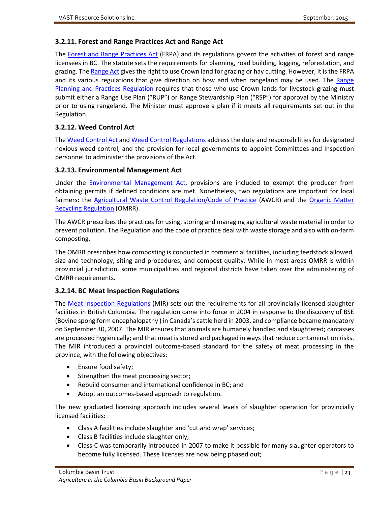#### <span id="page-32-0"></span>**3.2.11. Forest and Range Practices Act and Range Act**

The [Forest and Range Practices Act](http://www.bclaws.ca/EPLibraries/bclaws_new/document/ID/freeside/00_02069_01) (FRPA) and its regulations govern the activities of forest and range licensees in BC. The statute sets the requirements for planning, road building, logging, reforestation, and grazing. Th[e Range Act](http://www.bclaws.ca/EPLibraries/bclaws_new/document/ID/freeside/00_04071_01) gives the right to use Crown land for grazing or hay cutting. However, it is the FRPA and its various regulations that give direction on how and when rangeland may be used. The Range [Planning and Practices Regulation](http://www.bclaws.ca/EPLibraries/bclaws_new/document/ID/freeside/19_2004) requires that those who use Crown lands for livestock grazing must submit either a Range Use Plan ("RUP") or Range Stewardship Plan ("RSP") for approval by the Ministry prior to using rangeland. The Minister must approve a plan if it meets all requirements set out in the Regulation.

#### <span id="page-32-1"></span>**3.2.12. Weed Control Act**

Th[e Weed Control Act](http://www.bclaws.ca/EPLibraries/bclaws_new/document/ID/freeside/00_96487_01) an[d Weed Control Regulations](http://www.bclaws.ca/EPLibraries/bclaws_new/document/ID/freeside/10_66_85) address the duty and responsibilities for designated noxious weed control, and the provision for local governments to appoint Committees and Inspection personnel to administer the provisions of the Act.

#### <span id="page-32-2"></span>**3.2.13. Environmental Management Act**

Under the **Environmental Management Act**, provisions are included to exempt the producer from obtaining permits if defined conditions are met. Nonetheless, two regulations are important for local farmers: the [Agricultural Waste Control Regulation/Code of Practice](http://www.bclaws.ca/EPLibraries/bclaws_new/document/ID/freeside/10_131_92#CodeofAgriculturalPracticeforWasteManagement,April1,1992) (AWCR) and the Organic Matter [Recycling Regulation](http://www.bclaws.ca/EPLibraries/bclaws_new/document/ID/freeside/18_2002) (OMRR).

The AWCR prescribes the practices for using, storing and managing agricultural waste material in order to prevent pollution. The Regulation and the code of practice deal with waste storage and also with on-farm composting.

The OMRR prescribes how composting is conducted in commercial facilities, including feedstock allowed, size and technology, siting and procedures, and compost quality. While in most areas OMRR is within provincial jurisdiction, some municipalities and regional districts have taken over the administering of OMRR requirements.

#### <span id="page-32-3"></span>**3.2.14. BC Meat Inspection Regulations**

The [Meat Inspection Regulations](http://www.bclaws.ca/EPLibraries/bclaws_new/document/ID/freeside/349_2004) (MIR) sets out the requirements for all provincially licensed slaughter facilities in British Columbia. The regulation came into force in 2004 in response to the discovery of BSE (Bovine spongiform encephalopathy ) in Canada's cattle herd in 2003, and compliance became mandatory on September 30, 2007. The MIR ensures that animals are humanely handled and slaughtered; carcasses are processed hygienically; and that meat is stored and packaged in ways that reduce contamination risks. The MIR introduced a provincial outcome-based standard for the safety of meat processing in the province, with the following objectives:

- Ensure food safety;
- Strengthen the meat processing sector;
- Rebuild consumer and international confidence in BC; and
- Adopt an outcomes-based approach to regulation.

The new graduated licensing approach includes several levels of slaughter operation for provincially licensed facilities:

- Class A facilities include slaughter and 'cut and wrap' services;
- Class B facilities include slaughter only;
- Class C was temporarily introduced in 2007 to make it possible for many slaughter operators to become fully licensed. These licenses are now being phased out;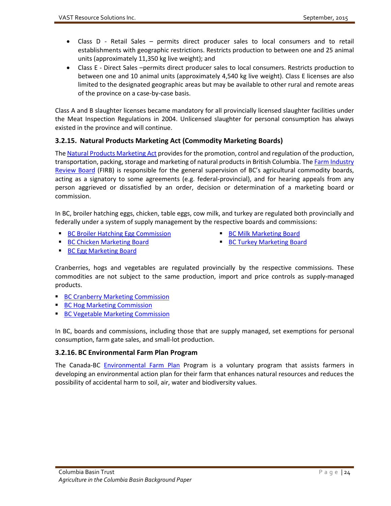- Class D Retail Sales permits direct producer sales to local consumers and to retail establishments with geographic restrictions. Restricts production to between one and 25 animal units (approximately 11,350 kg live weight); and
- Class E Direct Sales –permits direct producer sales to local consumers. Restricts production to between one and 10 animal units (approximately 4,540 kg live weight). Class E licenses are also limited to the designated geographic areas but may be available to other rural and remote areas of the province on a case-by-case basis.

Class A and B slaughter licenses became mandatory for all provincially licensed slaughter facilities under the Meat Inspection Regulations in 2004. Unlicensed slaughter for personal consumption has always existed in the province and will continue.

## <span id="page-33-0"></span>**3.2.15. Natural Products Marketing Act (Commodity Marketing Boards)**

Th[e Natural Products Marketing Act](http://www.bclaws.ca/EPLibraries/bclaws_new/document/ID/freeside/00_96330_01) provides for the promotion, control and regulation of the production, transportation, packing, storage and marketing of natural products in British Columbia. The Farm Industry [Review Board](http://www.firb.gov.bc.ca/) (FIRB) is responsible for the general supervision of BC's agricultural commodity boards, acting as a signatory to some agreements (e.g. federal-provincial), and for hearing appeals from any person aggrieved or dissatisfied by an order, decision or determination of a marketing board or commission.

In BC, broiler hatching eggs, chicken, table eggs, cow milk, and turkey are regulated both provincially and federally under a system of supply management by the respective boards and commissions:

- **[BC Broiler Hatching Egg Commission](http://www.bcbhec.com/index.asp?pgid=1)**
- **[BC Milk Marketing Board](http://bcmilkmarketing.worldsecuresystems.com/)**

**[BC Chicken Marketing Board](http://www.bcchicken.ca/)** 

[BC Turkey Marketing Board](http://www.bcturkey.com/)

**[BC Egg Marketing Board](http://www.bcegg.com/)** 

Cranberries, hogs and vegetables are regulated provincially by the respective commissions. These commodities are not subject to the same production, import and price controls as supply-managed products.

- [BC Cranberry Marketing Commission](http://bccranberries.com/)
- **[BC Hog Marketing Commission](http://bcpork.ca/producers/bc-hog-marketing-commission/)**
- [BC Vegetable Marketing Commission](http://www.bcveg.com/)

In BC, boards and commissions, including those that are supply managed, set exemptions for personal consumption, farm gate sales, and small-lot production.

#### <span id="page-33-1"></span>**3.2.16. BC Environmental Farm Plan Program**

The Canada-BC [Environmental Farm Plan](http://www.bcac.bc.ca/ardcorp/program/environmental-farm-plan-program) Program is a voluntary program that assists farmers in developing an environmental action plan for their farm that enhances natural resources and reduces the possibility of accidental harm to soil, air, water and biodiversity values.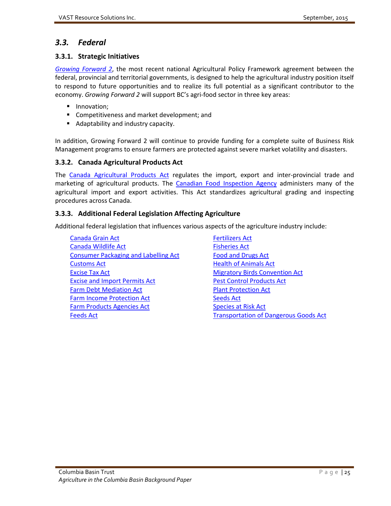# <span id="page-34-0"></span>*3.3. Federal*

#### <span id="page-34-1"></span>**3.3.1. Strategic Initiatives**

*[Growing Forward 2](http://www.agf.gov.bc.ca/apf/GF2/GF2.html)*, the most recent national Agricultural Policy Framework agreement between the federal, provincial and territorial governments, is designed to help the agricultural industry position itself to respond to future opportunities and to realize its full potential as a significant contributor to the economy. *Growing Forward 2* will support BC's agri-food sector in three key areas:

- **Innovation:**
- **Competitiveness and market development; and**
- Adaptability and industry capacity.

In addition, Growing Forward 2 will continue to provide funding for a complete suite of Business Risk Management programs to ensure farmers are protected against severe market volatility and disasters.

#### <span id="page-34-2"></span>**3.3.2. Canada Agricultural Products Act**

The [Canada Agricultural Products Act](http://laws-lois.justice.gc.ca/eng/acts/C-0.4/) regulates the import, export and inter-provincial trade and marketing of agricultural products. The [Canadian Food Inspection Agency](http://www.inspection.gc.ca/eng/1297964599443/1297965645317) administers many of the agricultural import and export activities. This Act standardizes agricultural grading and inspecting procedures across Canada.

#### <span id="page-34-3"></span>**3.3.3. Additional Federal Legislation Affecting Agriculture**

Additional federal legislation that influences various aspects of the agriculture industry include:

- **[Canada Grain Act](http://laws-lois.justice.gc.ca/eng/acts/G-10/index.html) Canada Grain Act Canada Grain Act Canada Grain Act Canada Canada Canada Canada Canada Canada** [Canada Wildlife Act](http://laws-lois.justice.gc.ca/eng/acts/w-9/index.html) **Fisheries** Act [Consumer Packaging and Labelling Act](http://laws-lois.justice.gc.ca/eng/acts/c-38/) [Food and Drugs Act](http://laws-lois.justice.gc.ca/eng/acts/f-27/) **[Customs Act](http://laws-lois.justice.gc.ca/eng/acts/c-52.6/) Customs Act [Health of Animals Act](http://laws-lois.justice.gc.ca/eng/acts/h-3.3/)** [Excise Tax Act](http://laws-lois.justice.gc.ca/eng/acts/e-15/) **[Migratory Birds Convention Act](http://laws-lois.justice.gc.ca/eng/acts/m-7.01/)** Migratory Birds Convention Act [Excise and Import Permits Act](http://laws-lois.justice.gc.ca/eng/acts/E-19/) [Pest Control Products Act](http://laws-lois.justice.gc.ca/eng/acts/P-9.01/) Farm Debt Mediation Act [Plant Protection Act](http://laws-lois.justice.gc.ca/eng/acts/P-14.8/) [Farm Income Protection Act](http://laws-lois.justice.gc.ca/eng/acts/F-3.3/) [Seeds Act](http://laws-lois.justice.gc.ca/eng/acts/S-8/) [Farm Products Agencies Act](http://laws-lois.justice.gc.ca/eng/acts/F-4/index.html) [Species at Risk Act](http://laws-lois.justice.gc.ca/eng/acts/s-15.3/) [Feeds Act](http://laws-lois.justice.gc.ca/eng/acts/f-9/) **[Transportation of Dangerous Goods Act](http://laws-lois.justice.gc.ca/eng/acts/t-19.01/)** Transportation of Dangerous Goods Act
-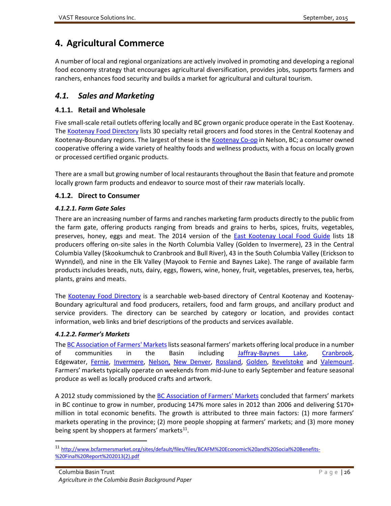# <span id="page-35-0"></span>**4. Agricultural Commerce**

A number of local and regional organizations are actively involved in promoting and developing a regional food economy strategy that encourages agricultural diversification, provides jobs, supports farmers and ranchers, enhances food security and builds a market for agricultural and cultural tourism.

# <span id="page-35-1"></span>*4.1. Sales and Marketing*

#### <span id="page-35-2"></span>**4.1.1. Retail and Wholesale**

Five small-scale retail outlets offering locally and BC grown organic produce operate in the East Kootenay. Th[e Kootenay Food Directory](http://directory.kootenayfood.com/?page_id=44) lists 30 specialty retail grocers and food stores in the Central Kootenay and Kootenay-Boundary regions. The largest of these is the [Kootenay Co-op](http://kootenay.coop/) in Nelson, BC; a consumer owned cooperative offering a wide variety of healthy foods and wellness products, with a focus on locally grown or processed certified organic products.

There are a small but growing number of local restaurants throughout the Basin that feature and promote locally grown farm products and endeavor to source most of their raw materials locally.

#### <span id="page-35-3"></span>**4.1.2. Direct to Consumer**

#### *4.1.2.1. Farm Gate Sales*

There are an increasing number of farms and ranches marketing farm products directly to the public from the farm gate, offering products ranging from breads and grains to herbs, spices, fruits, vegetables, preserves, honey, eggs and meat. The 2014 version of the [East Kootenay Local Food Guide](http://media.wix.com/ugd/5fbc65_0ce41118aa0d426f9b4e3736e4ff1226.pdf) lists 18 producers offering on-site sales in the North Columbia Valley (Golden to Invermere), 23 in the Central Columbia Valley (Skookumchuk to Cranbrook and Bull River), 43 in the South Columbia Valley (Erickson to Wynndel), and nine in the Elk Valley (Mayook to Fernie and Baynes Lake). The range of available farm products includes breads, nuts, dairy, eggs, flowers, wine, honey, fruit, vegetables, preserves, tea, herbs, plants, grains and meats.

The [Kootenay Food Directory](http://directory.kootenayfood.com/?page_id=44) is a searchable web-based directory of Central Kootenay and Kootenay-Boundary agricultural and food producers, retailers, food and farm groups, and ancillary product and service providers. The directory can be searched by category or location, and provides contact information, web links and brief descriptions of the products and services available.

#### *4.1.2.2. Farmer's Markets*

The BC Association of Farmers' Markets lists seasonal farmers' markets offering local produce in a number of communities in the Basin including [Jaffray-Baynes Lake,](http://met.bcfarmersmarket.org/market/jaffray-baynes-lake-farmers-market) [Cranbrook,](http://www.cranbrookfarmersmarket.com/) Edgewater, [Fernie,](http://www.mountainmarket.ca/) [Invermere,](http://met.bcfarmersmarket.org/market/invermere-farmers-market) [Nelson,](nehttp://markets.bcfarmersmarket.org/market/nelson-downtown-local-market-cottonwood-market) [New Denver,](http://markets.bcfarmersmarket.org/market/new-denver-friday-market) [Rossland,](http://markets.bcfarmersmarket.org/market/rossland-mountain-market) [Golden,](http://markets.bcfarmersmarket.org/market/golden-farmers-market) [Revelstoke](http://markets.bcfarmersmarket.org/market/revelstoke-farmers-market) and [Valemount.](http://markets.bcfarmersmarket.org/market/valemount-farmers-market) Farmers' markets typically operate on weekends from mid-June to early September and feature seasonal produce as well as locally produced crafts and artwork.

A 2012 study commissioned by the [BC Association of Farmers' Markets](http://www.bcfarmersmarket.org/) concluded that farmers' markets in BC continue to grow in number, producing 147% more sales in 2012 than 2006 and delivering \$170+ million in total economic benefits. The growth is attributed to three main factors: (1) more farmers' markets operating in the province; (2) more people shopping at farmers' markets; and (3) more money being spent by shoppers at farmers' markets $^{11}$  $^{11}$  $^{11}$ .

<span id="page-35-4"></span> <sup>11</sup> [http://www.bcfarmersmarket.org/sites/default/files/files/BCAFM%20Economic%20and%20Social%20Benefits-](http://www.bcfarmersmarket.org/sites/default/files/files/BCAFM%20Economic%20and%20Social%20Benefits-%20Final%20Report%202013(2).pdf) [%20Final%20Report%202013\(2\).pdf](http://www.bcfarmersmarket.org/sites/default/files/files/BCAFM%20Economic%20and%20Social%20Benefits-%20Final%20Report%202013(2).pdf)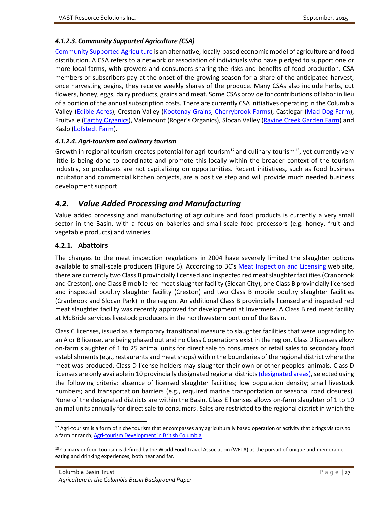#### *4.1.2.3. Community Supported Agriculture (CSA)*

[Community Supported Agriculture](https://en.wikipedia.org/wiki/Community-supported_agriculture) is an alternative, locally-based economic model of agriculture and food distribution. A CSA refers to a network or association of individuals who have pledged to support one or more local farms, with growers and consumers sharing the risks and benefits of food production. CSA members or subscribers pay at the onset of the growing season for a share of the anticipated harvest; once harvesting begins, they receive weekly shares of the produce. Many CSAs also include herbs, cut flowers, honey, eggs, dairy products, grains and meat. Some CSAs provide for contributions of labor in lieu of a portion of the annual subscription costs. There are currently CSA initiatives operating in the Columbia Valley [\(Edible Acres\)](http://farmbox.ca/edible-acres/), Creston Valley [\(Kootenay Grains,](http://www.kootenaygraincsa.ca/) [Cherrybrook Farms\)](cheeryhttp://www.cherrybrookfarms.ca/index.html), Castlegar [\(Mad Dog Farm\)](http://www.maddogfarm.ca/index.html), Fruitvale [\(Earthy Organics\)](http://earthyorganics.ca/), Valemount (Roger's Organics), Slocan Valley [\(Ravine Creek Garden Farm\)](https://ravinecreek.wordpress.com/) and Kaslo [\(Lofstedt Farm\)](http://mypage.direct.ca/l/lofstedtfarm/).

#### *4.1.2.4. Agri-tourism and culinary tourism*

Growth in regional tourism creates potential for agri-tourism<sup>[12](#page-36-2)</sup> and culinary tourism<sup>[13](#page-36-3)</sup>, yet currently very little is being done to coordinate and promote this locally within the broader context of the tourism industry, so producers are not capitalizing on opportunities. Recent initiatives, such as food business incubator and commercial kitchen projects, are a positive step and will provide much needed business development support.

# <span id="page-36-0"></span>*4.2. Value Added Processing and Manufacturing*

Value added processing and manufacturing of agriculture and food products is currently a very small sector in the Basin, with a focus on bakeries and small-scale food processors (e.g. honey, fruit and vegetable products) and wineries.

#### <span id="page-36-1"></span>**4.2.1. Abattoirs**

The changes to the meat inspection regulations in 2004 have severely limited the slaughter options available to small-scale producers (Figure 5). According to BC's [Meat Inspection and Licensing](http://apps.gov.bc.ca/pub/dmf-viewer/?siteid=5450001149050677859) web site, there are currently two Class B provincially licensed and inspected red meat slaughter facilities (Cranbrook and Creston), one Class B mobile red meat slaughter facility (Slocan City), one Class B provincially licensed and inspected poultry slaughter facility (Creston) and two Class B mobile poultry slaughter facilities (Cranbrook and Slocan Park) in the region. An additional Class B provincially licensed and inspected red meat slaughter facility was recently approved for development at Invermere. A Class B red meat facility at McBride services livestock producers in the northwestern portion of the Basin.

Class C licenses, issued as a temporary transitional measure to slaughter facilities that were upgrading to an A or B license, are being phased out and no Class C operations exist in the region. Class D licenses allow on-farm slaughter of 1 to 25 animal units for direct sale to consumers or retail sales to secondary food establishments (e.g., restaurants and meat shops) within the boundaries of the regional district where the meat was produced. Class D license holders may slaughter their own or other peoples' animals. Class D licenses are only available in 10 provincially designated regional district[s \(designated areas\),](http://www.agf.gov.bc.ca/meatinspection/designated_areas_map.html) selected using the following criteria: absence of licensed slaughter facilities; low population density; small livestock numbers; and transportation barriers (e.g., required marine transportation or seasonal road closures). None of the designated districts are within the Basin. Class E licenses allows on-farm slaughter of 1 to 10 animal units annually for direct sale to consumers. Sales are restricted to the regional district in which the

<span id="page-36-2"></span><sup>&</sup>lt;sup>12</sup> Agri-tourism is a form of niche tourism that encompasses any agriculturally based operation or activity that brings visitors to a farm or ranch[; Agri-tourism Development in British Columbia](http://www.nlc-bnc.ca/obj/s4/f2/dsk2/ftp04/mq24176.pdf)

<span id="page-36-3"></span><sup>&</sup>lt;sup>13</sup> Culinary or food tourism is defined by the World Food Travel Association (WFTA) as the pursuit of unique and memorable eating and drinking experiences, both near and far.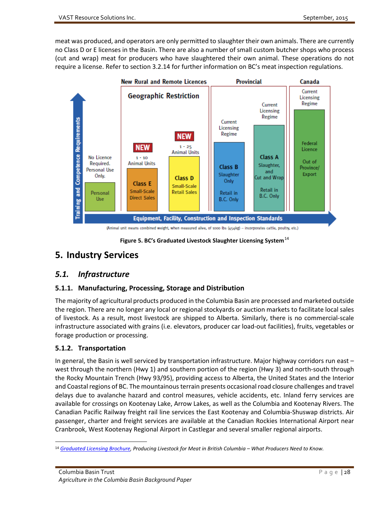meat was produced, and operators are only permitted to slaughter their own animals. There are currently no Class D or E licenses in the Basin. There are also a number of small custom butcher shops who process (cut and wrap) meat for producers who have slaughtered their own animal. These operations do not require a license. Refer to section 3.2.14 for further information on BC's meat inspection regulations.



**Figure 5. BC's Graduated Livestock Slaughter Licensing System**[14](#page-37-5)

# <span id="page-37-4"></span><span id="page-37-0"></span>**5. Industry Services**

# <span id="page-37-1"></span>*5.1. Infrastructure*

## <span id="page-37-2"></span>**5.1.1. Manufacturing, Processing, Storage and Distribution**

The majority of agricultural products produced in the Columbia Basin are processed and marketed outside the region. There are no longer any local or regional stockyards or auction markets to facilitate local sales of livestock. As a result, most livestock are shipped to Alberta. Similarly, there is no commercial-scale infrastructure associated with grains (i.e. elevators, producer car load-out facilities), fruits, vegetables or forage production or processing.

## <span id="page-37-3"></span>**5.1.2. Transportation**

In general, the Basin is well serviced by transportation infrastructure. Major highway corridors run east – west through the northern (Hwy 1) and southern portion of the region (Hwy 3) and north-south through the Rocky Mountain Trench (Hwy 93/95), providing access to Alberta, the United States and the Interior and Coastal regions of BC. The mountainous terrain presents occasional road closure challenges and travel delays due to avalanche hazard and control measures, vehicle accidents, etc. Inland ferry services are available for crossings on Kootenay Lake, Arrow Lakes, as well as the Columbia and Kootenay Rivers. The Canadian Pacific Railway freight rail line services the East Kootenay and Columbia-Shuswap districts. Air passenger, charter and freight services are available at the Canadian Rockies International Airport near Cranbrook, West Kootenay Regional Airport in Castlegar and several smaller regional airports.

<span id="page-37-5"></span> <sup>14</sup> *[Graduated Licensing Brochure,](http://www.bcfpa.ca/system/files/story/file/Graduated_licensing_brochure_for_producers.pdf) Producing Livestock for Meat in British Columbia – What Producers Need to Know.*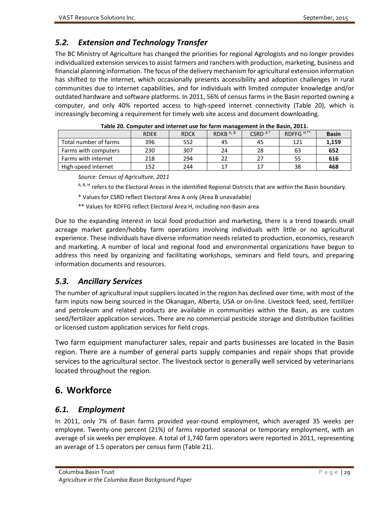# <span id="page-38-0"></span>*5.2. Extension and Technology Transfer*

The BC Ministry of Agriculture has changed the priorities for regional Agrologists and no longer provides individualized extension services to assist farmers and ranchers with production, marketing, business and financial planning information. The focus of the delivery mechanism for agricultural extension information has shifted to the internet, which occasionally presents accessibility and adoption challenges in rural communities due to internet capabilities, and for individuals with limited computer knowledge and/or outdated hardware and software platforms. In 2011, 56% of census farms in the Basin reported owning a computer, and only 40% reported access to high-speed internet connectivity (Table 20), which is increasingly becoming a requirement for timely web site access and document downloading.

<span id="page-38-4"></span>

|                       | <b>RDEK</b> | <b>RDCK</b> | RDKB $A, B$ | CSRD $A^*$ | RDFFG <sup>H**</sup> | <b>Basin</b> |
|-----------------------|-------------|-------------|-------------|------------|----------------------|--------------|
| Total number of farms | 396         | 552         | 45          | 45         | 121                  | 1,159        |
| Farms with computers  | 230         | 307         | 24          | 28         | 63                   | 652          |
| Farms with internet   | 218         | 294         | 22          | 27         | 55                   | 616          |
| High-speed internet   | 152         | 244         | 17          | 17         | 38                   | 468          |

*Source: Census of Agriculture, 2011*

A, B, H refers to the Electoral Areas in the identified Regional Districts that are within the Basin boundary.

- \* Values for CSRD reflect Electoral Area A only (Area B unavailable)
- \*\* Values for RDFFG reflect Electoral Area H, including non-Basin area

Due to the expanding interest in local food production and marketing, there is a trend towards small acreage market garden/hobby farm operations involving individuals with little or no agricultural experience. These individuals have diverse information needs related to production, economics, research and marketing. A number of local and regional food and environmental organizations have begun to address this need by organizing and facilitating workshops, seminars and field tours, and preparing information documents and resources.

# <span id="page-38-1"></span>*5.3. Ancillary Services*

The number of agricultural input suppliers located in the region has declined over time, with most of the farm inputs now being sourced in the Okanagan, Alberta, USA or on-line. Livestock feed, seed, fertilizer and petroleum and related products are available in communities within the Basin, as are custom seed/fertilizer application services. There are no commercial pesticide storage and distribution facilities or licensed custom application services for field crops.

Two farm equipment manufacturer sales, repair and parts businesses are located in the Basin region. There are a number of general parts supply companies and repair shops that provide services to the agricultural sector. The livestock sector is generally well serviced by veterinarians located throughout the region.

# <span id="page-38-2"></span>**6. Workforce**

## <span id="page-38-3"></span>*6.1. Employment*

In 2011, only 7% of Basin farms provided year-round employment, which averaged 35 weeks per employee. Twenty-one percent (21%) of farms reported seasonal or temporary employment, with an average of six weeks per employee. A total of 1,740 farm operators were reported in 2011, representing an average of 1.5 operators per census farm (Table 21).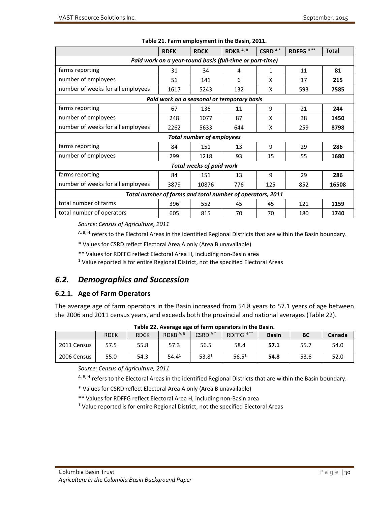<span id="page-39-2"></span>

|                                                                                  | <b>RDEK</b> | <b>RDCK</b> | RDKB <sup>A,B</sup>                                      | CSRD <sup>A*</sup> | RDFFG <sup>H**</sup> | <b>Total</b> |  |  |  |
|----------------------------------------------------------------------------------|-------------|-------------|----------------------------------------------------------|--------------------|----------------------|--------------|--|--|--|
|                                                                                  |             |             | Paid work on a year-round basis (full-time or part-time) |                    |                      |              |  |  |  |
|                                                                                  |             |             |                                                          |                    |                      |              |  |  |  |
| farms reporting                                                                  | 31          | 34          | 4                                                        | 1                  | 11                   | 81           |  |  |  |
| number of employees                                                              | 51          | 141         | 6                                                        | X                  | 17                   | 215          |  |  |  |
| number of weeks for all employees                                                | 1617        | 5243        | 132                                                      | X                  | 593                  | 7585         |  |  |  |
|                                                                                  |             |             | Paid work on a seasonal or temporary basis               |                    |                      |              |  |  |  |
| farms reporting                                                                  | 67          | 136         | 11                                                       | 9                  | 21                   | 244          |  |  |  |
| number of employees                                                              | 248         | 1077        | 87                                                       | X                  | 38                   | 1450         |  |  |  |
| number of weeks for all employees                                                | 2262        | 5633        | 644                                                      | X                  | 259                  | 8798         |  |  |  |
| <b>Total number of employees</b>                                                 |             |             |                                                          |                    |                      |              |  |  |  |
| farms reporting                                                                  | 84          | 151         | 13                                                       | 9                  | 29                   | 286          |  |  |  |
| number of employees                                                              | 299         | 1218        | 93                                                       | 15                 | 55                   | 1680         |  |  |  |
| <b>Total weeks of paid work</b>                                                  |             |             |                                                          |                    |                      |              |  |  |  |
| farms reporting                                                                  | 84          | 151         | 13                                                       | 9                  | 29                   | 286          |  |  |  |
| number of weeks for all employees<br>3879<br>10876<br>776<br>125<br>852<br>16508 |             |             |                                                          |                    |                      |              |  |  |  |
| Total number of farms and total number of operators, 2011                        |             |             |                                                          |                    |                      |              |  |  |  |
| total number of farms                                                            | 396         | 552         | 45                                                       | 45                 | 121                  | 1159         |  |  |  |
| total number of operators                                                        | 605         | 815         | 70                                                       | 70                 | 180                  | 1740         |  |  |  |

|  | Table 21. Farm employment in the Basin, 2011. |  |  |  |  |  |  |
|--|-----------------------------------------------|--|--|--|--|--|--|
|--|-----------------------------------------------|--|--|--|--|--|--|

*Source: Census of Agriculture, 2011*

A, B, H refers to the Electoral Areas in the identified Regional Districts that are within the Basin boundary.

\* Values for CSRD reflect Electoral Area A only (Area B unavailable)

\*\* Values for RDFFG reflect Electoral Area H, including non-Basin area

 $1$  Value reported is for entire Regional District, not the specified Electoral Areas

# <span id="page-39-0"></span>*6.2. Demographics and Succession*

#### <span id="page-39-1"></span>**6.2.1. Age of Farm Operators**

The average age of farm operators in the Basin increased from 54.8 years to 57.1 years of age between the 2006 and 2011 census years, and exceeds both the provincial and national averages (Table 22).

<span id="page-39-3"></span>

| Table 22. Average age or farm operators in the basin. |             |             |             |                   |                      |              |           |        |  |
|-------------------------------------------------------|-------------|-------------|-------------|-------------------|----------------------|--------------|-----------|--------|--|
|                                                       | <b>RDEK</b> | <b>RDCK</b> | RDKB $A, B$ | $CSRDA*$          | RDFFG <sup>H**</sup> | <b>Basin</b> | <b>BC</b> | Canada |  |
| 2011 Census                                           | 57.5        | 55.8        | 57.3        | 56.5              | 58.4                 | 57.1         | 55.7      | 54.0   |  |
| 2006 Census                                           | 55.0        | 54.3        | $54.4^{1}$  | 53.8 <sup>1</sup> | 56.5 <sup>1</sup>    | 54.8         | 53.6      | 52.0   |  |

**Table 22. Average age of farm operators in the Basin.**

*Source: Census of Agriculture, 2011*

A, B, H refers to the Electoral Areas in the identified Regional Districts that are within the Basin boundary.

\* Values for CSRD reflect Electoral Area A only (Area B unavailable)

\*\* Values for RDFFG reflect Electoral Area H, including non-Basin area

 $1$  Value reported is for entire Regional District, not the specified Electoral Areas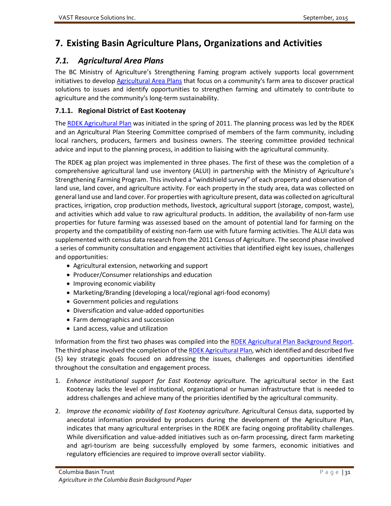# <span id="page-40-0"></span>**7. Existing Basin Agriculture Plans, Organizations and Activities**

# <span id="page-40-1"></span>*7.1. Agricultural Area Plans*

The BC Ministry of Agriculture's Strengthening Faming program actively supports local government initiatives to develop [Agricultural Area Plans](http://www.agf.gov.bc.ca/resmgmt/sf/aap) that focus on a community's farm area to discover practical solutions to issues and identify opportunities to strengthen farming and ultimately to contribute to agriculture and the community's long-term sustainability.

# <span id="page-40-2"></span>**7.1.1. Regional District of East Kootenay**

Th[e RDEK Agricultural Plan](ftp://ftp.rdek.bc.ca/pdf/agplan/2014_agplanconsolidated.pdf) was initiated in the spring of 2011. The planning process was led by the RDEK and an Agricultural Plan Steering Committee comprised of members of the farm community, including local ranchers, producers, farmers and business owners. The steering committee provided technical advice and input to the planning process, in addition to liaising with the agricultural community.

The RDEK ag plan project was implemented in three phases. The first of these was the completion of a comprehensive agricultural land use inventory (ALUI) in partnership with the Ministry of Agriculture's Strengthening Farming Program. This involved a "windshield survey" of each property and observation of land use, land cover, and agriculture activity. For each property in the study area, data was collected on general land use and land cover. For properties with agriculture present, data was collected on agricultural practices, irrigation, crop production methods, livestock, agricultural support (storage, compost, waste), and activities which add value to raw agricultural products. In addition, the availability of non-farm use properties for future farming was assessed based on the amount of potential land for farming on the property and the compatibility of existing non-farm use with future farming activities. The ALUI data was supplemented with census data research from the 2011 Census of Agriculture. The second phase involved a series of community consultation and engagement activities that identified eight key issues, challenges and opportunities:

- Agricultural extension, networking and support
- Producer/Consumer relationships and education
- Improving economic viability
- Marketing/Branding (developing a local/regional agri-food economy)
- Government policies and regulations
- Diversification and value-added opportunities
- Farm demographics and succession
- Land access, value and utilization

Information from the first two phases was compiled into the [RDEK Agricultural Plan Background Report.](ftp://ftp.rdek.bc.ca/pdf/agplan/rdek%20ag%20plan_background%20report%20final.pdf) The third phase involved the completion of th[e RDEK Agricultural Plan,](ftp://ftp.rdek.bc.ca/pdf/agplan/2014_agplanconsolidated.pdf) which identified and described five (5) key strategic goals focused on addressing the issues, challenges and opportunities identified throughout the consultation and engagement process.

- 1. *Enhance institutional support for East Kootenay agriculture.* The agricultural sector in the East Kootenay lacks the level of institutional, organizational or human infrastructure that is needed to address challenges and achieve many of the priorities identified by the agricultural community.
- 2. *Improve the economic viability of East Kootenay agriculture.* Agricultural Census data, supported by anecdotal information provided by producers during the development of the Agriculture Plan, indicates that many agricultural enterprises in the RDEK are facing ongoing profitability challenges. While diversification and value-added initiatives such as on-farm processing, direct farm marketing and agri-tourism are being successfully employed by some farmers, economic initiatives and regulatory efficiencies are required to improve overall sector viability.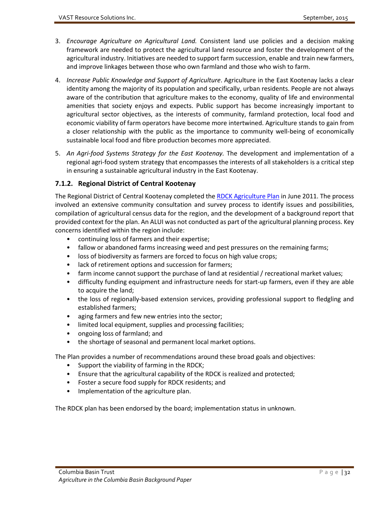- 3. *Encourage Agriculture on Agricultural Land.* Consistent land use policies and a decision making framework are needed to protect the agricultural land resource and foster the development of the agricultural industry. Initiatives are needed to support farm succession, enable and train new farmers, and improve linkages between those who own farmland and those who wish to farm.
- 4. *Increase Public Knowledge and Support of Agriculture*. Agriculture in the East Kootenay lacks a clear identity among the majority of its population and specifically, urban residents. People are not always aware of the contribution that agriculture makes to the economy, quality of life and environmental amenities that society enjoys and expects. Public support has become increasingly important to agricultural sector objectives, as the interests of community, farmland protection, local food and economic viability of farm operators have become more intertwined. Agriculture stands to gain from a closer relationship with the public as the importance to community well-being of economically sustainable local food and fibre production becomes more appreciated.
- 5. *An Agri-food Systems Strategy for the East Kootenay.* The development and implementation of a regional agri-food system strategy that encompasses the interests of all stakeholders is a critical step in ensuring a sustainable agricultural industry in the East Kootenay.

#### <span id="page-41-0"></span>**7.1.2. Regional District of Central Kootenay**

The Regional District of Central Kootenay completed the [RDCK Agriculture Plan](http://www.rdck.ca/assets/Services/Land%7EUse%7Eand%7EPlanning/Documents/AG-Plan.pdf) in June 2011. The process involved an extensive community consultation and survey process to identify issues and possibilities, compilation of agricultural census data for the region, and the development of a background report that provided context for the plan. An ALUI was not conducted as part of the agricultural planning process. Key concerns identified within the region include:

- continuing loss of farmers and their expertise;
- fallow or abandoned farms increasing weed and pest pressures on the remaining farms;
- loss of biodiversity as farmers are forced to focus on high value crops;
- lack of retirement options and succession for farmers;
- farm income cannot support the purchase of land at residential / recreational market values;
- difficulty funding equipment and infrastructure needs for start-up farmers, even if they are able to acquire the land;
- the loss of regionally-based extension services, providing professional support to fledgling and established farmers;
- aging farmers and few new entries into the sector;
- limited local equipment, supplies and processing facilities;
- ongoing loss of farmland; and
- the shortage of seasonal and permanent local market options.

The Plan provides a number of recommendations around these broad goals and objectives:

- Support the viability of farming in the RDCK;
- Ensure that the agricultural capability of the RDCK is realized and protected;
- Foster a secure food supply for RDCK residents; and
- Implementation of the agriculture plan.

The RDCK plan has been endorsed by the board; implementation status in unknown.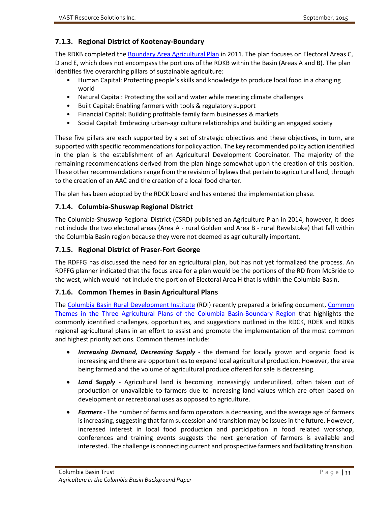#### <span id="page-42-0"></span>**7.1.3. Regional District of Kootenay-Boundary**

The RDKB completed the **Boundary Area Agricultural Plan** in 2011. The plan focuses on Electoral Areas C, D and E, which does not encompass the portions of the RDKB within the Basin (Areas A and B). The plan identifies five overarching pillars of sustainable agriculture:

- Human Capital: Protecting people's skills and knowledge to produce local food in a changing world
- Natural Capital: Protecting the soil and water while meeting climate challenges
- Built Capital: Enabling farmers with tools & regulatory support
- Financial Capital: Building profitable family farm businesses & markets
- Social Capital: Embracing urban-agriculture relationships and building an engaged society

These five pillars are each supported by a set of strategic objectives and these objectives, in turn, are supported with specific recommendations for policy action. The key recommended policy action identified in the plan is the establishment of an Agricultural Development Coordinator. The majority of the remaining recommendations derived from the plan hinge somewhat upon the creation of this position. These other recommendations range from the revision of bylaws that pertain to agricultural land, through to the creation of an AAC and the creation of a local food charter.

The plan has been adopted by the RDCK board and has entered the implementation phase.

#### <span id="page-42-1"></span>**7.1.4. Columbia-Shuswap Regional District**

The Columbia-Shuswap Regional District (CSRD) published an Agriculture Plan in 2014, however, it does not include the two electoral areas (Area A - rural Golden and Area B - rural Revelstoke) that fall within the Columbia Basin region because they were not deemed as agriculturally important.

#### <span id="page-42-2"></span>**7.1.5. Regional District of Fraser-Fort George**

The RDFFG has discussed the need for an agricultural plan, but has not yet formalized the process. An RDFFG planner indicated that the focus area for a plan would be the portions of the RD from McBride to the west, which would not include the portion of Electoral Area H that is within the Columbia Basin.

#### <span id="page-42-3"></span>**7.1.6. Common Themes in Basin Agricultural Plans**

The [Columbia Basin Rural Development Institute](http://www.cbrdi.ca/) (RDI) recently prepared a briefing document, [Common](http://www.cbrdi.ca/wp-content/uploads/CommonThemesAGplans_final.pdf)  [Themes in the Three Agricultural Plans of the Columbia Basin-Boundary Region](http://www.cbrdi.ca/wp-content/uploads/CommonThemesAGplans_final.pdf) that highlights the commonly identified challenges, opportunities, and suggestions outlined in the RDCK, RDEK and RDKB regional agricultural plans in an effort to assist and promote the implementation of the most common and highest priority actions. Common themes include:

- *Increasing Demand, Decreasing Supply* the demand for locally grown and organic food is increasing and there are opportunities to expand local agricultural production. However, the area being farmed and the volume of agricultural produce offered for sale is decreasing.
- *Land Supply* Agricultural land is becoming increasingly underutilized, often taken out of production or unavailable to farmers due to increasing land values which are often based on development or recreational uses as opposed to agriculture.
- *Farmers*  The number of farms and farm operators is decreasing, and the average age of farmers is increasing, suggesting that farm succession and transition may be issues in the future. However, increased interest in local food production and participation in food related workshop, conferences and training events suggests the next generation of farmers is available and interested. The challenge is connecting current and prospective farmers and facilitating transition.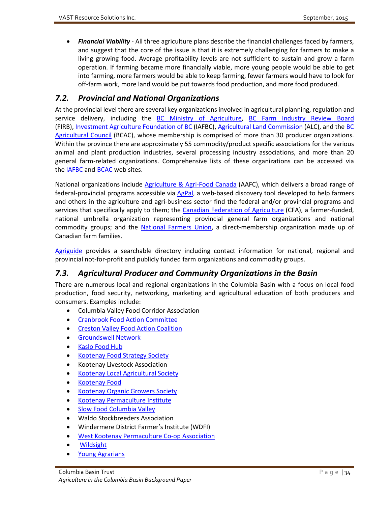• *Financial Viability* - All three agriculture plans describe the financial challenges faced by farmers, and suggest that the core of the issue is that it is extremely challenging for farmers to make a living growing food. Average profitability levels are not sufficient to sustain and grow a farm operation. If farming became more financially viable, more young people would be able to get into farming, more farmers would be able to keep farming, fewer farmers would have to look for off-farm work, more land would be put towards food production, and more food produced.

# <span id="page-43-0"></span>*7.2. Provincial and National Organizations*

At the provincial level there are several key organizations involved in agricultural planning, regulation and service delivery, including the [BC Ministry of Agriculture,](http://www.gov.bc.ca/agri/) [BC Farm Industry Review Board](http://www.firb.gov.bc.ca/) (FIRB), [Investment Agriculture Foundation of BC](http://www.iafbc.ca/index.htm) (IAFBC), [Agricultural Land Commission](http://www.alc.gov.bc.ca/alc/content.page?id=650C876AD9904910B4807D9DCCB1F067) (ALC), and the [BC](https://bcac.bc.ca/)  [Agricultural Council](https://bcac.bc.ca/) (BCAC), whose membership is comprised of more than 30 producer organizations. Within the province there are approximately 55 commodity/product specific associations for the various animal and plant production industries, several processing industry associations, and more than 20 general farm-related organizations. Comprehensive lists of these organizations can be accessed via the [IAFBC](http://www.iafbc.ca/publications_and_resources/links.htm) and [BCAC](https://bcac.bc.ca/member-associations) web sites.

National organizations include [Agriculture & Agri-Food Canada](http://www.agr.gc.ca/eng/home/?id=1395690825741) (AAFC), which delivers a broad range of federal-provincial programs accessible via [AgPal,](http://www.agpal.ca/) a web-based discovery tool developed to help farmers and others in the agriculture and agri-business sector find the federal and/or provincial programs and services that specifically apply to them; the [Canadian Federation of Agriculture](http://www.cfa-fca.ca/) (CFA), a farmer-funded, national umbrella organization representing provincial general farm organizations and national commodity groups; and the [National Farmers Union,](http://www.nfu.ca/) a direct-membership organization made up of Canadian farm families.

[Agriguide](http://www.agriguide.ca/home) provides a searchable directory including contact information for national, regional and provincial not-for-profit and publicly funded farm organizations and commodity groups.

# <span id="page-43-1"></span>*7.3. Agricultural Producer and Community Organizations in the Basin*

There are numerous local and regional organizations in the Columbia Basin with a focus on local food production, food security, networking, marketing and agricultural education of both producers and consumers. Examples include:

- Columbia Valley Food Corridor Association
- [Cranbrook Food Action Committee](http://www.cranbrookfoodaction.com/favicon.ico)
- [Creston Valley Food Action Coalition](http://www.crestonfoodaction.ca/site/)
- [Groundswell Network](http://groundswellnetwork.ca/)
- [Kaslo Food Hub](http://www.nklcss.org/food/)
- [Kootenay Food Strategy Society](http://www.kootenayfood.ca/)
- Kootenay Livestock Association
- [Kootenay Local Agricultural Society](http://www.klasociety.org/)
- [Kootenay Food](http://kootenayfood.com/)
- [Kootenay Organic Growers Society](http://kogs.bc.ca/)
- [Kootenay Permaculture Institute](http://www.kootenaypermaculture.com/)
- [Slow Food Columbia Valley](http://slowfood.ca/blog/2012/02/14/slow-food-columbia-valley-the-little-convivium-that-couldun-petit-convivium-qui-pouvait/)
- Waldo Stockbreeders Association
- Windermere District Farmer's Institute (WDFI)
- [West Kootenay Permaculture Co-op Association](http://kootenayfood.com/Groups/west-kootenay-permaculture-co-op/)
- [Wildsight](http://www.wildsight.ca/)
- [Young Agrarians](http://youngagrarians.org/)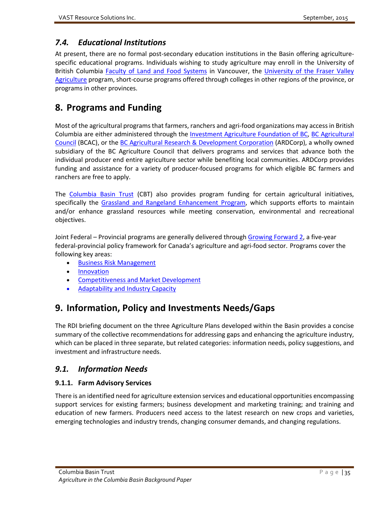# <span id="page-44-0"></span>*7.4. Educational Institutions*

At present, there are no formal post-secondary education institutions in the Basin offering agriculturespecific educational programs. Individuals wishing to study agriculture may enroll in the University of British Columbia [Faculty of Land and Food Systems](http://www.landfood.ubc.ca/) in Vancouver, the University of the Fraser Valley [Agriculture](http://www.ufv.ca/agriculture/) program, short-course programs offered through colleges in other regions of the province, or programs in other provinces.

# <span id="page-44-1"></span>**8. Programs and Funding**

Most of the agricultural programs that farmers, ranchers and agri-food organizations may access in British Columbia are either administered through the [Investment Agriculture Foundation of BC,](http://www.iafbc.ca/index.htm) BC Agricultural [Council](https://bcac.bc.ca/) (BCAC), or the [BC Agricultural Research & Development Corporation](https://bcac.bc.ca/ardcorp) (ARDCorp), a wholly owned subsidiary of the BC Agriculture Council that delivers programs and services that advance both the individual producer end entire agriculture sector while benefiting local communities. ARDCorp provides funding and assistance for a variety of producer-focused programs for which eligible BC farmers and ranchers are free to apply.

The [Columbia Basin Trust](https://www.cbt.org/Funding/?Programs) (CBT) also provides program funding for certain agricultural initiatives, specifically the Grassland and [Rangeland Enhancement Program,](http://cbt.org/Funding/?view&vars=1&content=Program&WebDynID=2444) which supports efforts to maintain and/or enhance grassland resources while meeting conservation, environmental and recreational objectives.

Joint Federal – Provincial programs are generally delivered throug[h Growing Forward 2,](http://www2.gov.bc.ca/gov/topic.page?id=EB8322DE53664C7289317829FA25360E) a five-year federal-provincial policy framework for Canada's agriculture and agri-food sector. Programs cover the following key areas:

- [Business Risk Management](http://www2.gov.bc.ca/gov/topic.page?id=EB8322DE53664C7289317829FA25360E#business_risk)
- **[Innovation](http://www2.gov.bc.ca/gov/topic.page?id=EB8322DE53664C7289317829FA25360E#innovation)**
- [Competitiveness and Market Development](http://www2.gov.bc.ca/gov/topic.page?id=EB8322DE53664C7289317829FA25360E#competitiveness)
- [Adaptability and Industry Capacity](http://www2.gov.bc.ca/gov/topic.page?id=EB8322DE53664C7289317829FA25360E#adaptability)

# <span id="page-44-2"></span>**9. Information, Policy and Investments Needs/Gaps**

The RDI briefing document on the three Agriculture Plans developed within the Basin provides a concise summary of the collective recommendations for addressing gaps and enhancing the agriculture industry, which can be placed in three separate, but related categories: information needs, policy suggestions, and investment and infrastructure needs.

# <span id="page-44-3"></span>*9.1. Information Needs*

## <span id="page-44-4"></span>**9.1.1. Farm Advisory Services**

There is an identified need for agriculture extension services and educational opportunities encompassing support services for existing farmers; business development and marketing training; and training and education of new farmers. Producers need access to the latest research on new crops and varieties, emerging technologies and industry trends, changing consumer demands, and changing regulations.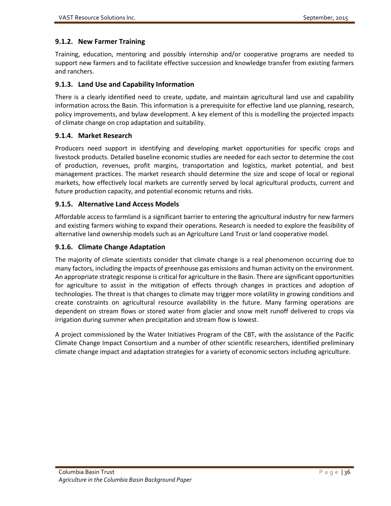#### <span id="page-45-0"></span>**9.1.2. New Farmer Training**

Training, education, mentoring and possibly internship and/or cooperative programs are needed to support new farmers and to facilitate effective succession and knowledge transfer from existing farmers and ranchers.

#### <span id="page-45-1"></span>**9.1.3. Land Use and Capability Information**

There is a clearly identified need to create, update, and maintain agricultural land use and capability information across the Basin. This information is a prerequisite for effective land use planning, research, policy improvements, and bylaw development. A key element of this is modelling the projected impacts of climate change on crop adaptation and suitability.

#### <span id="page-45-2"></span>**9.1.4. Market Research**

Producers need support in identifying and developing market opportunities for specific crops and livestock products. Detailed baseline economic studies are needed for each sector to determine the cost of production, revenues, profit margins, transportation and logistics, market potential, and best management practices. The market research should determine the size and scope of local or regional markets, how effectively local markets are currently served by local agricultural products, current and future production capacity, and potential economic returns and risks.

#### <span id="page-45-3"></span>**9.1.5. Alternative Land Access Models**

Affordable access to farmland is a significant barrier to entering the agricultural industry for new farmers and existing farmers wishing to expand their operations. Research is needed to explore the feasibility of alternative land ownership models such as an Agriculture Land Trust or land cooperative model.

#### <span id="page-45-4"></span>**9.1.6. Climate Change Adaptation**

The majority of climate scientists consider that climate change is a real phenomenon occurring due to many factors, including the impacts of greenhouse gas emissions and human activity on the environment. An appropriate strategic response is critical for agriculture in the Basin. There are significant opportunities for agriculture to assist in the mitigation of effects through changes in practices and adoption of technologies. The threat is that changes to climate may trigger more volatility in growing conditions and create constraints on agricultural resource availability in the future. Many farming operations are dependent on stream flows or stored water from glacier and snow melt runoff delivered to crops via irrigation during summer when precipitation and stream flow is lowest.

A project commissioned by the Water Initiatives Program of the CBT, with the assistance of the Pacific Climate Change Impact Consortium and a number of other scientific researchers, identified preliminary climate change impact and adaptation strategies for a variety of economic sectors including agriculture.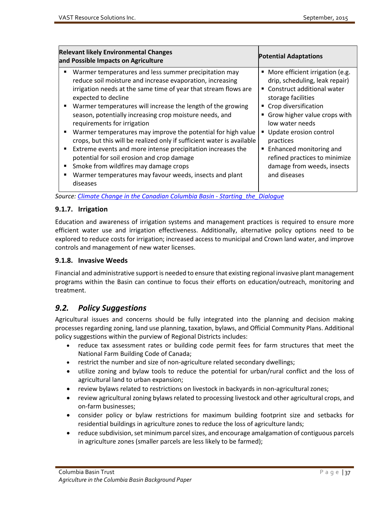| <b>Relevant likely Environmental Changes</b><br>and Possible Impacts on Agriculture                                                                                                                                                                                                                                                                                                                                                                                                                                                                                                                                                                                                                                                                                                | <b>Potential Adaptations</b>                                                                                                                                                                                                                                                                                                                                                   |  |  |  |
|------------------------------------------------------------------------------------------------------------------------------------------------------------------------------------------------------------------------------------------------------------------------------------------------------------------------------------------------------------------------------------------------------------------------------------------------------------------------------------------------------------------------------------------------------------------------------------------------------------------------------------------------------------------------------------------------------------------------------------------------------------------------------------|--------------------------------------------------------------------------------------------------------------------------------------------------------------------------------------------------------------------------------------------------------------------------------------------------------------------------------------------------------------------------------|--|--|--|
| Warmer temperatures and less summer precipitation may<br>reduce soil moisture and increase evaporation, increasing<br>irrigation needs at the same time of year that stream flows are<br>expected to decline<br>Warmer temperatures will increase the length of the growing<br>٠<br>season, potentially increasing crop moisture needs, and<br>requirements for irrigation<br>Warmer temperatures may improve the potential for high value<br>٠<br>crops, but this will be realized only if sufficient water is available<br>Extreme events and more intense precipitation increases the<br>$\blacksquare$<br>potential for soil erosion and crop damage<br>Smoke from wildfires may damage crops<br>٠<br>Warmer temperatures may favour weeds, insects and plant<br>٠<br>diseases | • More efficient irrigation (e.g.<br>drip, scheduling, leak repair)<br>■ Construct additional water<br>storage facilities<br>■ Crop diversification<br>Grow higher value crops with<br>$\blacksquare$<br>low water needs<br>Update erosion control<br>practices<br>Enhanced monitoring and<br>٠<br>refined practices to minimize<br>damage from weeds, insects<br>and diseases |  |  |  |

*Source[: Climate Change in the Canadian Columbia Basin -](http://www.cbt.org/uploads/pdf/Climate_Change_in_the_Canadian_Columbia_Basin_-_Starting_the_Dialogue.pdf) Starting\_the\_Dialogue*

#### <span id="page-46-0"></span>**9.1.7. Irrigation**

Education and awareness of irrigation systems and management practices is required to ensure more efficient water use and irrigation effectiveness. Additionally, alternative policy options need to be explored to reduce costs for irrigation; increased access to municipal and Crown land water, and improve controls and management of new water licenses.

#### <span id="page-46-1"></span>**9.1.8. Invasive Weeds**

Financial and administrative support is needed to ensure that existing regional invasive plant management programs within the Basin can continue to focus their efforts on education/outreach, monitoring and treatment.

# <span id="page-46-2"></span>*9.2. Policy Suggestions*

Agricultural issues and concerns should be fully integrated into the planning and decision making processes regarding zoning, land use planning, taxation, bylaws, and Official Community Plans. Additional policy suggestions within the purview of Regional Districts includes:

- reduce tax assessment rates or building code permit fees for farm structures that meet the National Farm Building Code of Canada;
- restrict the number and size of non-agriculture related secondary dwellings;
- utilize zoning and bylaw tools to reduce the potential for urban/rural conflict and the loss of agricultural land to urban expansion;
- review bylaws related to restrictions on livestock in backyards in non-agricultural zones;
- review agricultural zoning bylaws related to processing livestock and other agricultural crops, and on-farm businesses;
- consider policy or bylaw restrictions for maximum building footprint size and setbacks for residential buildings in agriculture zones to reduce the loss of agriculture lands;
- reduce subdivision, set minimum parcel sizes, and encourage amalgamation of contiguous parcels in agriculture zones (smaller parcels are less likely to be farmed);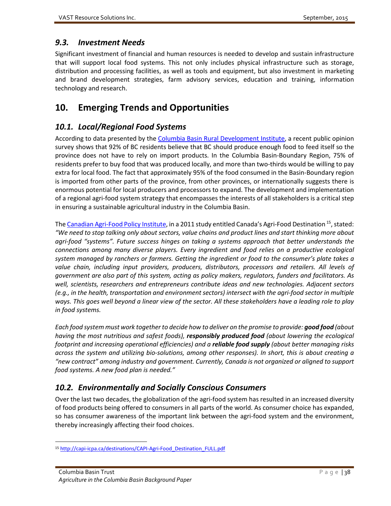# <span id="page-47-0"></span>*9.3. Investment Needs*

Significant investment of financial and human resources is needed to develop and sustain infrastructure that will support local food systems. This not only includes physical infrastructure such as storage, distribution and processing facilities, as well as tools and equipment, but also investment in marketing and brand development strategies, farm advisory services, education and training, information technology and research.

# <span id="page-47-1"></span>**10. Emerging Trends and Opportunities**

# <span id="page-47-2"></span>*10.1. Local/Regional Food Systems*

According to data presented by th[e Columbia Basin Rural Development Institute,](http://www.cbrdi.ca/) a recent public opinion survey shows that 92% of BC residents believe that BC should produce enough food to feed itself so the province does not have to rely on import products. In the Columbia Basin-Boundary Region, 75% of residents prefer to buy food that was produced locally, and more than two-thirds would be willing to pay extra for local food. The fact that approximately 95% of the food consumed in the Basin-Boundary region is imported from other parts of the province, from other provinces, or internationally suggests there is enormous potential for local producers and processors to expand. The development and implementation of a regional agri-food system strategy that encompasses the interests of all stakeholders is a critical step in ensuring a sustainable agricultural industry in the Columbia Basin.

Th[e Canadian Agri-Food Policy Institute,](http://www.capi-icpa.ca/) in a 2011 study entitled Canada's Agri-Food Destination<sup>[15](#page-47-4)</sup>, stated: *"We need to stop talking only about sectors, value chains and product lines and start thinking more about agri-food "systems". Future success hinges on taking a systems approach that better understands the connections among many diverse players. Every ingredient and food relies on a productive ecological system managed by ranchers or farmers. Getting the ingredient or food to the consumer's plate takes a value chain, including input providers, producers, distributors, processors and retailers. All levels of government are also part of this system, acting as policy makers, regulators, funders and facilitators. As well, scientists, researchers and entrepreneurs contribute ideas and new technologies. Adjacent sectors (e.g., in the health, transportation and environment sectors) intersect with the agri-food sector in multiple ways. This goes well beyond a linear view of the sector. All these stakeholders have a leading role to play in food systems.*

*Each food system must work together to decide how to deliver on the promise to provide: good food (about having the most nutritious and safest foods), responsibly produced food (about lowering the ecological footprint and increasing operational efficiencies) and a reliable food supply (about better managing risks across the system and utilizing bio-solutions, among other responses). In short, this is about creating a "new contract" among industry and government. Currently, Canada is not organized or aligned to support food systems. A new food plan is needed."*

# <span id="page-47-3"></span>*10.2. Environmentally and Socially Conscious Consumers*

Over the last two decades, the globalization of the agri-food system has resulted in an increased diversity of food products being offered to consumers in all parts of the world. As consumer choice has expanded, so has consumer awareness of the important link between the agri-food system and the environment, thereby increasingly affecting their food choices.

<span id="page-47-4"></span> <sup>15</sup> [http://capi-icpa.ca/destinations/CAPI-Agri-Food\\_Destination\\_FULL.pdf](http://capi-icpa.ca/destinations/CAPI-Agri-Food_Destination_FULL.pdf)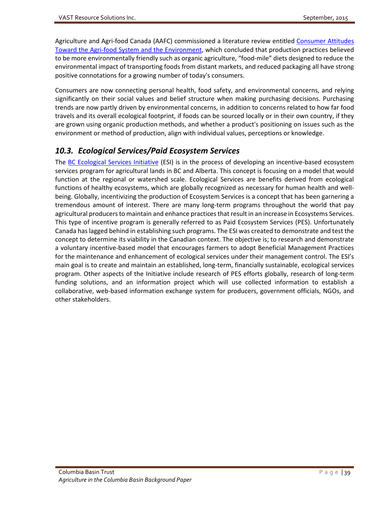Agriculture and Agri-food Canada (AAFC) commissioned a literature review entitled [Consumer Attitudes](http://www5.agr.gc.ca/resources/prod/Internet-Internet/MISB-DGSIM/ATS-SEA/PDF/5429-eng.pdf)  [Toward the Agri-food System and the Environment,](http://www5.agr.gc.ca/resources/prod/Internet-Internet/MISB-DGSIM/ATS-SEA/PDF/5429-eng.pdf) which concluded that production practices believed to be more environmentally friendly such as organic agriculture, "food-mile" diets designed to reduce the environmental impact of transporting foods from distant markets, and reduced packaging all have strong positive connotations for a growing number of today's consumers.

Consumers are now connecting personal health, food safety, and environmental concerns, and relying significantly on their social values and belief structure when making purchasing decisions. Purchasing trends are now partly driven by environmental concerns, in addition to concerns related to how far food travels and its overall ecological footprint, if foods can be sourced locally or in their own country, if they are grown using organic production methods, and whether a product's positioning on issues such as the environment or method of production, align with individual values, perceptions or knowledge.

# <span id="page-48-0"></span>*10.3. Ecological Services/Paid Ecosystem Services*

The [BC Ecological Services Initiative](http://www.bcesi.ca/) (ESI) is in the process of developing an incentive-based ecosystem services program for agricultural lands in BC and Alberta. This concept is focusing on a model that would function at the regional or watershed scale. Ecological Services are benefits derived from ecological functions of healthy ecosystems, which are globally recognized as necessary for human health and wellbeing. Globally, incentivizing the production of Ecosystem Services is a concept that has been garnering a tremendous amount of interest. There are many long-term programs throughout the world that pay agricultural producers to maintain and enhance practices that result in an increase in Ecosystems Services. This type of incentive program is generally referred to as Paid Ecosystem Services (PES). Unfortunately Canada has lagged behind in establishing such programs. The ESI was created to demonstrate and test the concept to determine its viability in the Canadian context. The objective is; to research and demonstrate a voluntary incentive-based model that encourages farmers to adopt Beneficial Management Practices for the maintenance and enhancement of ecological services under their management control. The ESI's main goal is to create and maintain an established, long-term, financially sustainable, ecological services program. Other aspects of the Initiative include research of PES efforts globally, research of long-term funding solutions, and an information project which will use collected information to establish a collaborative, web-based information exchange system for producers, government officials, NGOs, and other stakeholders.